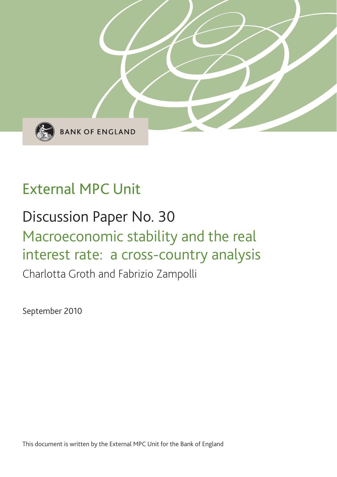

# External MPC Unit

# Discussion Paper No. 30 Macroeconomic stability and the real interest rate: a cross-country analysis

Charlotta Groth and Fabrizio Zampolli

September 2010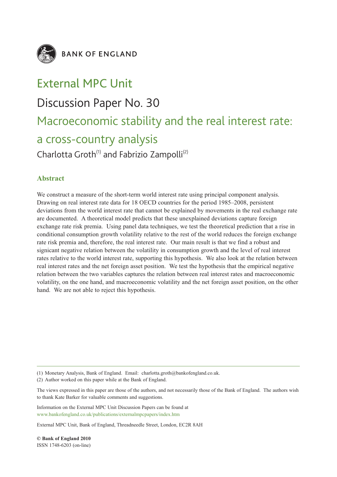

**BANK OF ENGLAND** 

## External MPC Unit

### Discussion Paper No. 30

## Macroeconomic stability and the real interest rate: a cross-country analysis

Charlotta Groth<sup>(1)</sup> and Fabrizio Zampolli<sup>(2)</sup>

#### **Abstract**

We construct a measure of the short-term world interest rate using principal component analysis. Drawing on real interest rate data for 18 OECD countries for the period 1985–2008, persistent deviations from the world interest rate that cannot be explained by movements in the real exchange rate are documented. A theoretical model predicts that these unexplained deviations capture foreign exchange rate risk premia. Using panel data techniques, we test the theoretical prediction that a rise in conditional consumption growth volatility relative to the rest of the world reduces the foreign exchange rate risk premia and, therefore, the real interest rate. Our main result is that we find a robust and signicant negative relation between the volatility in consumption growth and the level of real interest rates relative to the world interest rate, supporting this hypothesis. We also look at the relation between real interest rates and the net foreign asset position. We test the hypothesis that the empirical negative relation between the two variables captures the relation between real interest rates and macroeconomic volatility, on the one hand, and macroeconomic volatility and the net foreign asset position, on the other hand. We are not able to reject this hypothesis.

<sup>(1)</sup> Monetary Analysis, Bank of England. Email: charlotta.groth@bankofengland.co.uk.

<sup>(2)</sup> Author worked on this paper while at the Bank of England.

The views expressed in this paper are those of the authors, and not necessarily those of the Bank of England. The authors wish to thank Kate Barker for valuable comments and suggestions.

Information on the External MPC Unit Discussion Papers can be found at www.bankofengland.co.uk/publications/externalmpcpapers/index.htm

External MPC Unit, Bank of England, Threadneedle Street, London, EC2R 8AH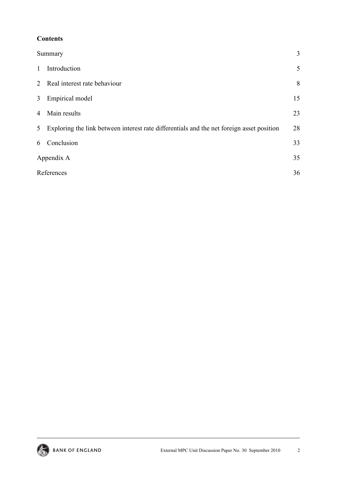#### Contents

| Summary                                                                                                     | $\overline{3}$ |
|-------------------------------------------------------------------------------------------------------------|----------------|
| Introduction                                                                                                | 5              |
| 2 Real interest rate behaviour                                                                              | 8              |
| Empirical model                                                                                             | 15             |
| Main results                                                                                                | 23             |
| Exploring the link between interest rate differentials and the net foreign asset position<br>5 <sup>5</sup> | 28             |
| Conclusion                                                                                                  | 33             |
| Appendix A                                                                                                  | 35             |
| References                                                                                                  | 36             |
|                                                                                                             |                |

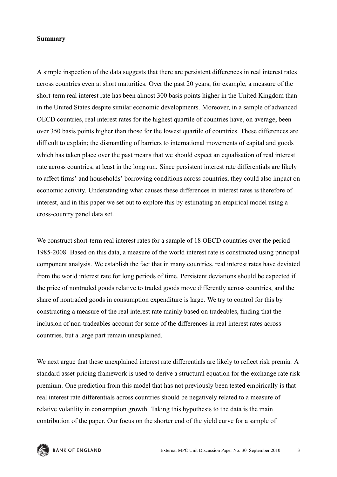#### Summary

A simple inspection of the data suggests that there are persistent differences in real interest rates across countries even at short maturities. Over the past 20 years, for example, a measure of the short-term real interest rate has been almost 300 basis points higher in the United Kingdom than in the United States despite similar economic developments. Moreover, in a sample of advanced OECD countries, real interest rates for the highest quartile of countries have, on average, been over 350 basis points higher than those for the lowest quartile of countries. These differences are difficult to explain; the dismantling of barriers to international movements of capital and goods which has taken place over the past means that we should expect an equalisation of real interest rate across countries, at least in the long run. Since persistent interest rate differentials are likely to affect firms' and households' borrowing conditions across countries, they could also impact on economic activity. Understanding what causes these differences in interest rates is therefore of interest, and in this paper we set out to explore this by estimating an empirical model using a cross-country panel data set.

We construct short-term real interest rates for a sample of 18 OECD countries over the period 1985-2008. Based on this data, a measure of the world interest rate is constructed using principal component analysis. We establish the fact that in many countries, real interest rates have deviated from the world interest rate for long periods of time. Persistent deviations should be expected if the price of nontraded goods relative to traded goods move differently across countries, and the share of nontraded goods in consumption expenditure is large. We try to control for this by constructing a measure of the real interest rate mainly based on tradeables, finding that the inclusion of non-tradeables account for some of the differences in real interest rates across countries, but a large part remain unexplained.

We next argue that these unexplained interest rate differentials are likely to reflect risk premia. A standard asset-pricing framework is used to derive a structural equation for the exchange rate risk premium. One prediction from this model that has not previously been tested empirically is that real interest rate differentials across countries should be negatively related to a measure of relative volatility in consumption growth. Taking this hypothesis to the data is the main contribution of the paper. Our focus on the shorter end of the yield curve for a sample of

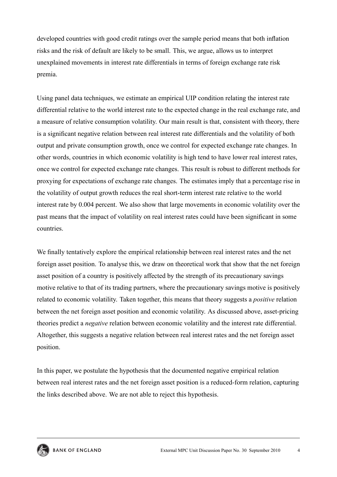developed countries with good credit ratings over the sample period means that both inflation risks and the risk of default are likely to be small. This, we argue, allows us to interpret unexplained movements in interest rate differentials in terms of foreign exchange rate risk premia.

Using panel data techniques, we estimate an empirical UIP condition relating the interest rate differential relative to the world interest rate to the expected change in the real exchange rate, and a measure of relative consumption volatility. Our main result is that, consistent with theory, there is a significant negative relation between real interest rate differentials and the volatility of both output and private consumption growth, once we control for expected exchange rate changes. In other words, countries in which economic volatility is high tend to have lower real interest rates, once we control for expected exchange rate changes. This result is robust to different methods for proxying for expectations of exchange rate changes. The estimates imply that a percentage rise in the volatility of output growth reduces the real short-term interest rate relative to the world interest rate by 0.004 percent. We also show that large movements in economic volatility over the past means that the impact of volatility on real interest rates could have been significant in some countries.

We finally tentatively explore the empirical relationship between real interest rates and the net foreign asset position. To analyse this, we draw on theoretical work that show that the net foreign asset position of a country is positively affected by the strength of its precautionary savings motive relative to that of its trading partners, where the precautionary savings motive is positively related to economic volatility. Taken together, this means that theory suggests a *positive* relation between the net foreign asset position and economic volatility. As discussed above, asset-pricing theories predict a negative relation between economic volatility and the interest rate differential. Altogether, this suggests a negative relation between real interest rates and the net foreign asset position.

In this paper, we postulate the hypothesis that the documented negative empirical relation between real interest rates and the net foreign asset position is a reduced-form relation, capturing the links described above. We are not able to reject this hypothesis.

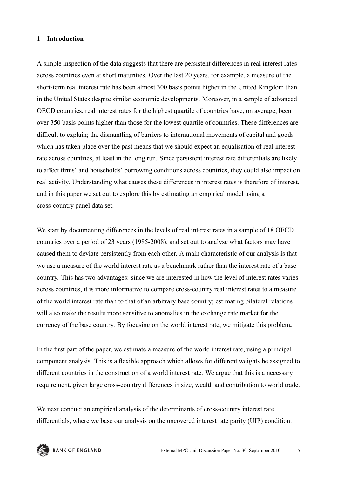#### 1 Introduction

A simple inspection of the data suggests that there are persistent differences in real interest rates across countries even at short maturities. Over the last 20 years, for example, a measure of the short-term real interest rate has been almost 300 basis points higher in the United Kingdom than in the United States despite similar economic developments. Moreover, in a sample of advanced OECD countries, real interest rates for the highest quartile of countries have, on average, been over 350 basis points higher than those for the lowest quartile of countries. These differences are difficult to explain; the dismantling of barriers to international movements of capital and goods which has taken place over the past means that we should expect an equalisation of real interest rate across countries, at least in the long run. Since persistent interest rate differentials are likely to affect firms' and households' borrowing conditions across countries, they could also impact on real activity. Understanding what causes these differences in interest rates is therefore of interest, and in this paper we set out to explore this by estimating an empirical model using a cross-country panel data set.

We start by documenting differences in the levels of real interest rates in a sample of 18 OECD countries over a period of 23 years (1985-2008), and set out to analyse what factors may have caused them to deviate persistently from each other. A main characteristic of our analysis is that we use a measure of the world interest rate as a benchmark rather than the interest rate of a base country. This has two advantages: since we are interested in how the level of interest rates varies across countries, it is more informative to compare cross-country real interest rates to a measure of the world interest rate than to that of an arbitrary base country; estimating bilateral relations will also make the results more sensitive to anomalies in the exchange rate market for the currency of the base country. By focusing on the world interest rate, we mitigate this problem.

In the first part of the paper, we estimate a measure of the world interest rate, using a principal component analysis. This is a flexible approach which allows for different weights be assigned to different countries in the construction of a world interest rate. We argue that this is a necessary requirement, given large cross-country differences in size, wealth and contribution to world trade.

We next conduct an empirical analysis of the determinants of cross-country interest rate differentials, where we base our analysis on the uncovered interest rate parity (UIP) condition.

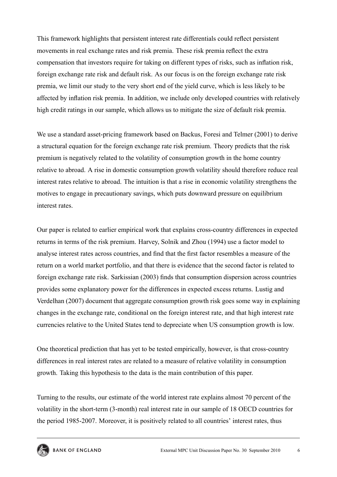This framework highlights that persistent interest rate differentials could reflect persistent movements in real exchange rates and risk premia. These risk premia reflect the extra compensation that investors require for taking on different types of risks, such as inflation risk, foreign exchange rate risk and default risk. As our focus is on the foreign exchange rate risk premia, we limit our study to the very short end of the yield curve, which is less likely to be affected by inflation risk premia. In addition, we include only developed countries with relatively high credit ratings in our sample, which allows us to mitigate the size of default risk premia.

We use a standard asset-pricing framework based on Backus, Foresi and Telmer (2001) to derive a structural equation for the foreign exchange rate risk premium. Theory predicts that the risk premium is negatively related to the volatility of consumption growth in the home country relative to abroad. A rise in domestic consumption growth volatility should therefore reduce real interest rates relative to abroad. The intuition is that a rise in economic volatility strengthens the motives to engage in precautionary savings, which puts downward pressure on equilibrium interest rates.

Our paper is related to earlier empirical work that explains cross-country differences in expected returns in terms of the risk premium. Harvey, Solnik and Zhou (1994) use a factor model to analyse interest rates across countries, and find that the first factor resembles a measure of the return on a world market portfolio, and that there is evidence that the second factor is related to foreign exchange rate risk. Sarkissian (2003) finds that consumption dispersion across countries provides some explanatory power for the differences in expected excess returns. Lustig and Verdelhan (2007) document that aggregate consumption growth risk goes some way in explaining changes in the exchange rate, conditional on the foreign interest rate, and that high interest rate currencies relative to the United States tend to depreciate when US consumption growth is low.

One theoretical prediction that has yet to be tested empirically, however, is that cross-country differences in real interest rates are related to a measure of relative volatility in consumption growth. Taking this hypothesis to the data is the main contribution of this paper.

Turning to the results, our estimate of the world interest rate explains almost 70 percent of the volatility in the short-term (3-month) real interest rate in our sample of 18 OECD countries for the period 1985-2007. Moreover, it is positively related to all countries' interest rates, thus

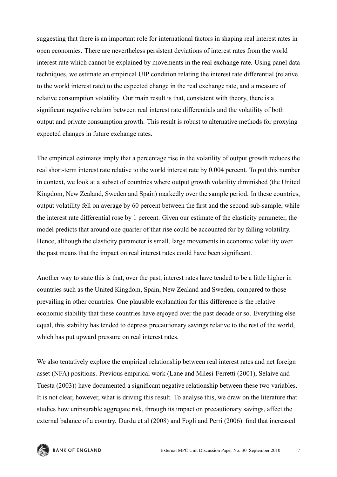suggesting that there is an important role for international factors in shaping real interest rates in open economies. There are nevertheless persistent deviations of interest rates from the world interest rate which cannot be explained by movements in the real exchange rate. Using panel data techniques, we estimate an empirical UIP condition relating the interest rate differential (relative to the world interest rate) to the expected change in the real exchange rate, and a measure of relative consumption volatility. Our main result is that, consistent with theory, there is a significant negative relation between real interest rate differentials and the volatility of both output and private consumption growth. This result is robust to alternative methods for proxying expected changes in future exchange rates.

The empirical estimates imply that a percentage rise in the volatility of output growth reduces the real short-term interest rate relative to the world interest rate by 0.004 percent. To put this number in context, we look at a subset of countries where output growth volatility diminished (the United Kingdom, New Zealand, Sweden and Spain) markedly over the sample period. In these countries, output volatility fell on average by 60 percent between the first and the second sub-sample, while the interest rate differential rose by 1 percent. Given our estimate of the elasticity parameter, the model predicts that around one quarter of that rise could be accounted for by falling volatility. Hence, although the elasticity parameter is small, large movements in economic volatility over the past means that the impact on real interest rates could have been significant.

Another way to state this is that, over the past, interest rates have tended to be a little higher in countries such as the United Kingdom, Spain, New Zealand and Sweden, compared to those prevailing in other countries. One plausible explanation for this difference is the relative economic stability that these countries have enjoyed over the past decade or so. Everything else equal, this stability has tended to depress precautionary savings relative to the rest of the world, which has put upward pressure on real interest rates.

We also tentatively explore the empirical relationship between real interest rates and net foreign asset (NFA) positions. Previous empirical work (Lane and Milesi-Ferretti (2001), Selaive and Tuesta (2003)) have documented a significant negative relationship between these two variables. It is not clear, however, what is driving this result. To analyse this, we draw on the literature that studies how uninsurable aggregate risk, through its impact on precautionary savings, affect the external balance of a country. Durdu et al (2008) and Fogli and Perri (2006) find that increased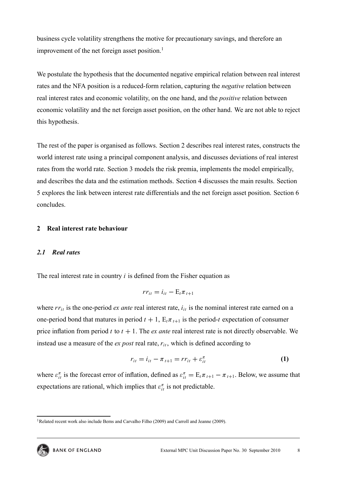business cycle volatility strengthens the motive for precautionary savings, and therefore an improvement of the net foreign asset position.<sup>1</sup>

We postulate the hypothesis that the documented negative empirical relation between real interest rates and the NFA position is a reduced-form relation, capturing the negative relation between real interest rates and economic volatility, on the one hand, and the *positive* relation between economic volatility and the net foreign asset position, on the other hand. We are not able to reject this hypothesis.

The rest of the paper is organised as follows. Section 2 describes real interest rates, constructs the world interest rate using a principal component analysis, and discusses deviations of real interest rates from the world rate. Section 3 models the risk premia, implements the model empirically, and describes the data and the estimation methods. Section 4 discusses the main results. Section 5 explores the link between interest rate differentials and the net foreign asset position. Section 6 concludes.

#### 2 Real interest rate behaviour

#### 2.1 Real rates

The real interest rate in country  $i$  is defined from the Fisher equation as

$$
rr_{it} = i_{it} - \mathrm{E}_t \pi_{t+1}
$$

where  $rr_{it}$  is the one-period *ex ante* real interest rate,  $i_{it}$  is the nominal interest rate earned on a one-period bond that matures in period  $t + 1$ ,  $E_t \pi_{t+1}$  is the period-t expectation of consumer price inflation from period t to  $t + 1$ . The ex ante real interest rate is not directly observable. We instead use a measure of the  $ex$  post real rate,  $r_{it}$ , which is defined according to

$$
r_{it} = i_{it} - \pi_{t+1} = rr_{it} + \varepsilon_{it}^{\pi}
$$
 (1)

where  $\varepsilon_{it}^{\pi}$  is the forecast error of inflation, defined as  $\varepsilon_{it}^{\pi} = E_t \pi_{t+1} - \pi_{t+1}$ . Below, we assume that expectations are rational, which implies that  $\varepsilon_{it}^{\pi}$  is not predictable.

<sup>&</sup>lt;sup>1</sup>Related recent work also include Bems and Carvalho Filho (2009) and Carroll and Jeanne (2009).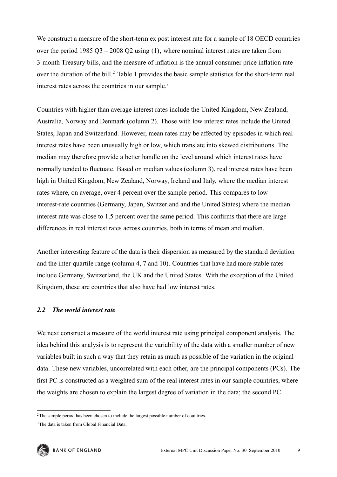We construct a measure of the short-term ex post interest rate for a sample of 18 OECD countries over the period 1985 Q3 – 2008 Q2 using  $(1)$ , where nominal interest rates are taken from 3-month Treasury bills, and the measure of inflation is the annual consumer price inflation rate over the duration of the bill.<sup>2</sup> Table 1 provides the basic sample statistics for the short-term real interest rates across the countries in our sample.<sup>3</sup>

Countries with higher than average interest rates include the United Kingdom, New Zealand, Australia, Norway and Denmark (column 2). Those with low interest rates include the United States, Japan and Switzerland. However, mean rates may be affected by episodes in which real interest rates have been unusually high or low, which translate into skewed distributions. The median may therefore provide a better handle on the level around which interest rates have normally tended to fluctuate. Based on median values (column 3), real interest rates have been high in United Kingdom, New Zealand, Norway, Ireland and Italy, where the median interest rates where, on average, over 4 percent over the sample period. This compares to low interest-rate countries (Germany, Japan, Switzerland and the United States) where the median interest rate was close to 1.5 percent over the same period. This confirms that there are large differences in real interest rates across countries, both in terms of mean and median.

Another interesting feature of the data is their dispersion as measured by the standard deviation and the inter-quartile range (column 4, 7 and 10). Countries that have had more stable rates include Germany, Switzerland, the UK and the United States. With the exception of the United Kingdom, these are countries that also have had low interest rates.

#### 2.2 The world interest rate

We next construct a measure of the world interest rate using principal component analysis. The idea behind this analysis is to represent the variability of the data with a smaller number of new variables built in such a way that they retain as much as possible of the variation in the original data. These new variables, uncorrelated with each other, are the principal components (PCs). The first PC is constructed as a weighted sum of the real interest rates in our sample countries, where the weights are chosen to explain the largest degree of variation in the data; the second PC

<sup>3</sup>The data is taken from Global Financial Data.



<sup>&</sup>lt;sup>2</sup>The sample period has been chosen to include the largest possible number of countries.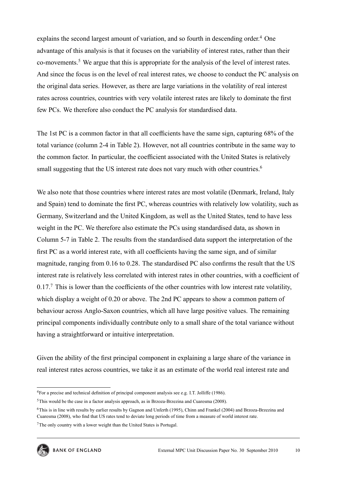explains the second largest amount of variation, and so fourth in descending order.<sup>4</sup> One advantage of this analysis is that it focuses on the variability of interest rates, rather than their co-movements.<sup>5</sup> We argue that this is appropriate for the analysis of the level of interest rates. And since the focus is on the level of real interest rates, we choose to conduct the PC analysis on the original data series. However, as there are large variations in the volatility of real interest rates across countries, countries with very volatile interest rates are likely to dominate the first few PCs. We therefore also conduct the PC analysis for standardised data.

The 1st PC is a common factor in that all coefficients have the same sign, capturing 68% of the total variance (column 2-4 in Table 2). However, not all countries contribute in the same way to the common factor. In particular, the coefficient associated with the United States is relatively small suggesting that the US interest rate does not vary much with other countries.<sup>6</sup>

We also note that those countries where interest rates are most volatile (Denmark, Ireland, Italy and Spain) tend to dominate the first PC, whereas countries with relatively low volatility, such as Germany, Switzerland and the United Kingdom, as well as the United States, tend to have less weight in the PC. We therefore also estimate the PCs using standardised data, as shown in Column 5-7 in Table 2. The results from the standardised data support the interpretation of the first PC as a world interest rate, with all coefficients having the same sign, and of similar magnitude, ranging from 0.16 to 0.28. The standardised PC also confirms the result that the US interest rate is relatively less correlated with interest rates in other countries, with a coefficient of  $0.17<sup>7</sup>$  This is lower than the coefficients of the other countries with low interest rate volatility, which display a weight of 0.20 or above. The 2nd PC appears to show a common pattern of behaviour across Anglo-Saxon countries, which all have large positive values. The remaining principal components individually contribute only to a small share of the total variance without having a straightforward or intuitive interpretation.

Given the ability of the first principal component in explaining a large share of the variance in real interest rates across countries, we take it as an estimate of the world real interest rate and

<sup>7</sup>The only country with a lower weight than the United States is Portugal.



 ${}^{4}$ For a precise and technical definition of principal component analysis see e.g. I.T. Jolliffe (1986).

<sup>5</sup>This would be the case in a factor analysis approach, as in Brzoza-Brzezina and Cuaresma (2008).

<sup>6</sup>This is in line with results by earlier results by Gagnon and Unferth (1995), Chinn and Frankel (2004) and Brzoza-Brzezina and Cuaresma (2008), who find that US rates tend to deviate long periods of time from a measure of world interest rate.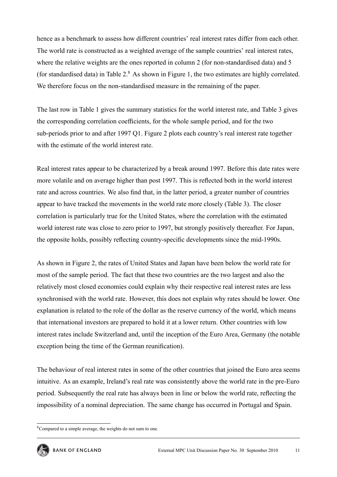hence as a benchmark to assess how different countries' real interest rates differ from each other. The world rate is constructed as a weighted average of the sample countries' real interest rates, where the relative weights are the ones reported in column 2 (for non-standardised data) and 5 (for standardised data) in Table  $2<sup>8</sup>$  As shown in Figure 1, the two estimates are highly correlated. We therefore focus on the non-standardised measure in the remaining of the paper.

The last row in Table 1 gives the summary statistics for the world interest rate, and Table 3 gives the corresponding correlation coefficients, for the whole sample period, and for the two sub-periods prior to and after 1997 Q1. Figure 2 plots each country's real interest rate together with the estimate of the world interest rate.

Real interest rates appear to be characterized by a break around 1997. Before this date rates were more volatile and on average higher than post 1997. This is reflected both in the world interest rate and across countries. We also find that, in the latter period, a greater number of countries appear to have tracked the movements in the world rate more closely (Table 3). The closer correlation is particularly true for the United States, where the correlation with the estimated world interest rate was close to zero prior to 1997, but strongly positively thereafter. For Japan, the opposite holds, possibly reflecting country-specific developments since the mid-1990s.

As shown in Figure 2, the rates of United States and Japan have been below the world rate for most of the sample period. The fact that these two countries are the two largest and also the relatively most closed economies could explain why their respective real interest rates are less synchronised with the world rate. However, this does not explain why rates should be lower. One explanation is related to the role of the dollar as the reserve currency of the world, which means that international investors are prepared to hold it at a lower return. Other countries with low interest rates include Switzerland and, until the inception of the Euro Area, Germany (the notable exception being the time of the German reunification).

The behaviour of real interest rates in some of the other countries that joined the Euro area seems intuitive. As an example, Ireland's real rate was consistently above the world rate in the pre-Euro period. Subsequently the real rate has always been in line or below the world rate, reflecting the impossibility of a nominal depreciation. The same change has occurred in Portugal and Spain.

<sup>8</sup>Compared to a simple average, the weights do not sum to one.

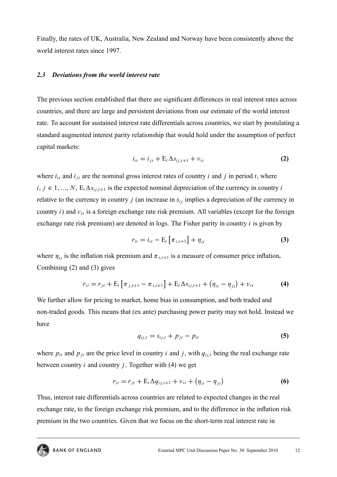Finally, the rates of UK, Australia, New Zealand and Norway have been consistently above the world interest rates since 1997.

#### 2.3 Deviations from the world interest rate

The previous section established that there are significant differences in real interest rates across countries, and there are large and persistent deviations from our estimate of the world interest rate. To account for sustained interest rate differentials across countries, we start by postulating a standard augmented interest parity relationship that would hold under the assumption of perfect capital markets:

$$
i_{it} = i_{jt} + \mathrm{E}_t \Delta s_{ij,t+1} + \nu_{it}
$$
\n<sup>(2)</sup>

where  $i_{it}$  and  $i_{it}$  are the nominal gross interest rates of country i and j in period t, where  $i, j \in 1, ..., N$ ,  $E_t \Delta s_{i,j,t+1}$  is the expected nominal depreciation of the currency in country i relative to the currency in country  $j$  (an increase in  $s_{ij}$  implies a depreciation of the currency in country i) and  $v_{it}$  is a foreign exchange rate risk premium. All variables (except for the foreign exchange rate risk premium) are denoted in logs. The Fisher parity in country  $i$  is given by

$$
r_{it} = i_{it} - \mathrm{E}_t \left[ \pi_{i,t+1} \right] + \eta_{it} \tag{3}
$$

where  $\eta_{it}$  is the inflation risk premium and  $\pi_{i,t+1}$  is a measure of consumer price inflation. Combining  $(2)$  and  $(3)$  gives

$$
r_{it} = r_{jt} + \mathrm{E}_t \left[ \pi_{j, t+1} - \pi_{i, t+1} \right] + \mathrm{E}_t \Delta s_{ij, t+1} + \left( \eta_{it} - \eta_{jt} \right) + \nu_{it} \tag{4}
$$

We further allow for pricing to market, home bias in consumption, and both traded and non-traded goods. This means that (ex ante) purchasing power parity may not hold. Instead we have

$$
q_{ij,t} = s_{ij,t} + p_{jt} - p_{it} \tag{5}
$$

where  $p_{it}$  and  $p_{jt}$  are the price level in country i and j, with  $q_{ij,t}$  being the real exchange rate between country  $i$  and country  $j$ . Together with  $(4)$  we get

$$
r_{it} = r_{jt} + \mathbf{E}_t \Delta q_{ij, t+1} + v_{it} + (\eta_{it} - \eta_{jt})
$$
 (6)

Thus, interest rate differentials across countries are related to expected changes in the real exchange rate, to the foreign exchange risk premium, and to the difference in the inflation risk premium in the two countries. Given that we focus on the short-term real interest rate in

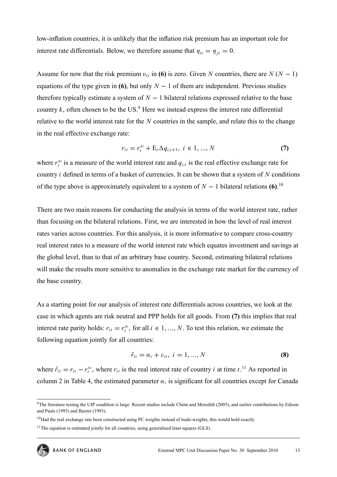low-inflation countries, it is unlikely that the inflation risk premium has an important role for interest rate differentials. Below, we therefore assume that  $\eta_{it} = \eta_{it} = 0$ .

Assume for now that the risk premium  $v_{it}$  in (6) is zero. Given N countries, there are  $N(N - 1)$ equations of the type given in (6), but only  $N - 1$  of them are independent. Previous studies therefore typically estimate a system of  $N - 1$  bilateral relations expressed relative to the base country k, often chosen to be the US.<sup>9</sup> Here we instead express the interest rate differential relative to the world interest rate for the  $N$  countries in the sample, and relate this to the change in the real effective exchange rate:

$$
r_{it} = r_t^w + \mathcal{E}_t \Delta q_{i,t+1}, \ i \in 1, ..., N \tag{7}
$$

where  $r_t^w$  is a measure of the world interest rate and  $q_{i,t}$  is the real effective exchange rate for country *i* defined in terms of a basket of currencies. It can be shown that a system of  $N$  conditions of the type above is approximately equivalent to a system of  $N-1$  bilateral relations (6).<sup>10</sup>

There are two main reasons for conducting the analysis in terms of the world interest rate, rather than focusing on the bilateral relations. First, we are interested in how the level of real interest rates varies across countries. For this analysis, it is more informative to compare cross-country real interest rates to a measure of the world interest rate which equates investment and savings at the global level, than to that of an arbitrary base country. Second, estimating bilateral relations will make the results more sensitive to anomalies in the exchange rate market for the currency of the base country.

As a starting point for our analysis of interest rate differentials across countries, we look at the case in which agents are risk neutral and PPP holds for all goods. From (7) this implies that real interest rate parity holds:  $r_{it} = r_t^w$ , for all  $i \in 1, ..., N$ . To test this relation, we estimate the following equation jointly for all countries:

$$
\tilde{r}_{it} = \alpha_i + \varepsilon_{it}, \ i = 1, ..., N
$$
 (8)

where  $\tilde{r}_{it} = r_{it} - r_t^w$ , where  $r_{it}$  is the real interest rate of country *i* at time *t*.<sup>11</sup> As reported in column 2 in Table 4, the estimated parameter  $\alpha_i$  is significant for all countries except for Canada

 $11$ The equation is estimated jointly for all countries, using generalised least squares (GLS).



 $9$ The literature testing the UIP condition is large. Recent studies include Chinn and Meredith (2005), and earlier contributions by Edison and Pauls (1993) and Baxter (1993).

<sup>&</sup>lt;sup>10</sup>Had the real exchange rate been constructed using PC weights instead of trade-weights, this would hold exactly.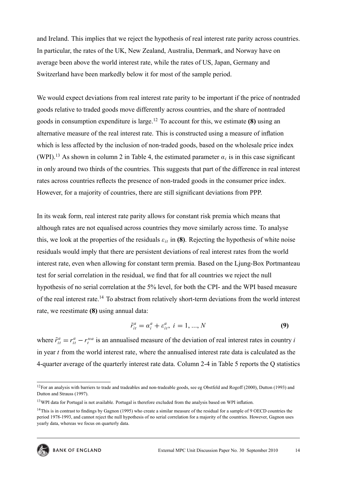and Ireland. This implies that we reject the hypothesis of real interest rate parity across countries. In particular, the rates of the UK, New Zealand, Australia, Denmark, and Norway have on average been above the world interest rate, while the rates of US, Japan, Germany and Switzerland have been markedly below it for most of the sample period.

We would expect deviations from real interest rate parity to be important if the price of nontraded goods relative to traded goods move differently across countries, and the share of nontraded goods in consumption expenditure is large.<sup>12</sup> To account for this, we estimate  $(8)$  using an alternative measure of the real interest rate. This is constructed using a measure of inflation which is less affected by the inclusion of non-traded goods, based on the wholesale price index (WPI).<sup>13</sup> As shown in column 2 in Table 4, the estimated parameter  $\alpha_i$  is in this case significant in only around two thirds of the countries. This suggests that part of the difference in real interest rates across countries reflects the presence of non-traded goods in the consumer price index. However, for a majority of countries, there are still significant deviations from PPP.

In its weak form, real interest rate parity allows for constant risk premia which means that although rates are not equalised across countries they move similarly across time. To analyse this, we look at the properties of the residuals  $\varepsilon_{it}$  in (8). Rejecting the hypothesis of white noise residuals would imply that there are persistent deviations of real interest rates from the world interest rate, even when allowing for constant term premia. Based on the Ljung-Box Portmanteau test for serial correlation in the residual, we find that for all countries we reject the null hypothesis of no serial correlation at the 5% level, for both the CPI- and the WPI based measure of the real interest rate.<sup>14</sup> To abstract from relatively short-term deviations from the world interest rate, we reestimate (8) using annual data:

$$
\tilde{r}_{it}^a = \alpha_i^a + \varepsilon_{it}^a, \ i = 1, ..., N
$$
 (9)

where  $\tilde{r}_{it}^a = r_{it}^a - r_t^{wa}$  is an annualised measure of the deviation of real interest rates in country *i* in year  $t$  from the world interest rate, where the annualised interest rate data is calculated as the 4-quarter average of the quarterly interest rate data. Column 2-4 in Table 5 reports the Q statistics

 $14$ This is in contrast to findings by Gagnon (1995) who create a similar measure of the residual for a sample of 9 OECD countries the period 1978-1993, and cannot reject the null hypothesis of no serial correlation for a majority of the countries. However, Gagnon uses yearly data, whereas we focus on quarterly data.



<sup>&</sup>lt;sup>12</sup>For an analysis with barriers to trade and tradeables and non-tradeable goods, see eg Obstfeld and Rogoff (2000), Dutton (1993) and Dutton and Strauss (1997).

 $13$  WPI data for Portugal is not available. Portugal is therefore excluded from the analysis based on WPI inflation.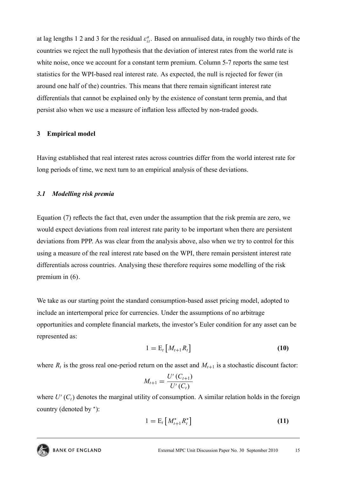at lag lengths 1 2 and 3 for the residual  $\varepsilon_{it}^a$ . Based on annualised data, in roughly two thirds of the countries we reject the null hypothesis that the deviation of interest rates from the world rate is white noise, once we account for a constant term premium. Column 5-7 reports the same test statistics for the WPI-based real interest rate. As expected, the null is rejected for fewer (in around one half of the) countries. This means that there remain significant interest rate differentials that cannot be explained only by the existence of constant term premia, and that persist also when we use a measure of inflation less affected by non-traded goods.

#### 3 Empirical model

Having established that real interest rates across countries differ from the world interest rate for long periods of time, we next turn to an empirical analysis of these deviations.

#### 3.1 Modelling risk premia

Equation  $(7)$  reflects the fact that, even under the assumption that the risk premia are zero, we would expect deviations from real interest rate parity to be important when there are persistent deviations from PPP. As was clear from the analysis above, also when we try to control for this using a measure of the real interest rate based on the WPI, there remain persistent interest rate differentials across countries. Analysing these therefore requires some modelling of the risk premium in  $(6)$ .

We take as our starting point the standard consumption-based asset pricing model, adopted to include an intertemporal price for currencies. Under the assumptions of no arbitrage opportunities and complete financial markets, the investor's Euler condition for any asset can be represented as:

$$
1 = \mathrm{E}_t \left[ M_{t+1} R_t \right] \tag{10}
$$

where  $R_t$  is the gross real one-period return on the asset and  $M_{t+1}$  is a stochastic discount factor:

$$
M_{t+1} = \frac{U'(C_{t+1})}{U'(C_t)}
$$

where  $U'(C_t)$  denotes the marginal utility of consumption. A similar relation holds in the foreign country (denoted by ):

$$
1 = E_t \left[ M_{t+1}^* R_t^* \right] \tag{11}
$$

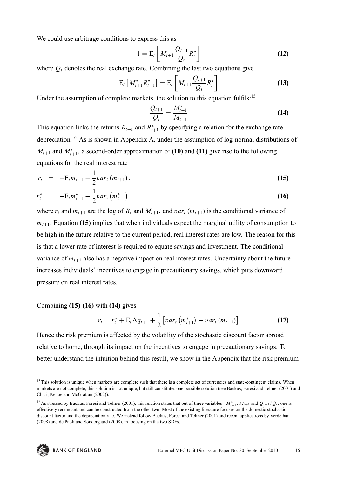We could use arbitrage conditions to express this as

$$
1 = \mathrm{E}_{t} \left[ M_{t+1} \frac{Q_{t+1}}{Q_{t}} R_{t}^{*} \right]
$$
\n
$$
(12)
$$

where  $Q_t$  denotes the real exchange rate. Combining the last two equations give

$$
E_t\left[M_{t+1}^* R_{t+1}^*\right] = E_t\left[M_{t+1} \frac{Q_{t+1}}{Q_t} R_t^*\right]
$$
\n(13)

Under the assumption of complete markets, the solution to this equation fulfils:<sup>15</sup>

$$
\frac{Q_{t+1}}{Q_t} = \frac{M_{t+1}^*}{M_{t+1}}
$$
\n(14)

This equation links the returns  $R_{t+1}$  and  $R_{t+1}^*$  by specifying a relation for the exchange rate depreciation.<sup>16</sup> As is shown in Appendix A, under the assumption of log-normal distributions of  $M_{t+1}$  and  $M_{t+1}^*$ , a second-order approximation of (10) and (11) give rise to the following equations for the real interest rate

$$
r_t = -E_t m_{t+1} - \frac{1}{2} \nu a r_t (m_{t+1}), \qquad (15)
$$

$$
r_t^* = -E_t m_{t+1}^* - \frac{1}{2} \nu a r_t \left( m_{t+1}^* \right) \tag{16}
$$

where  $r_t$  and  $m_{t+1}$  are the log of  $R_t$  and  $M_{t+1}$ , and  $var_t$   $(m_{t+1})$  is the conditional variance of  $m_{t+1}$ . Equation (15) implies that when individuals expect the marginal utility of consumption to be high in the future relative to the current period, real interest rates are low. The reason for this is that a lower rate of interest is required to equate savings and investment. The conditional variance of  $m_{t+1}$  also has a negative impact on real interest rates. Uncertainty about the future increases individuals' incentives to engage in precautionary savings, which puts downward pressure on real interest rates.

Combining  $(15)-(16)$  with  $(14)$  gives

$$
r_{t} = r_{t}^{*} + \mathrm{E}_{t} \Delta q_{t+1} + \frac{1}{2} \left[ var_{t} \left( m_{t+1}^{*} \right) - var_{t} \left( m_{t+1} \right) \right]
$$
 (17)

Hence the risk premium is affected by the volatility of the stochastic discount factor abroad relative to home, through its impact on the incentives to engage in precautionary savings. To better understand the intuition behind this result, we show in the Appendix that the risk premium

<sup>&</sup>lt;sup>16</sup>As stressed by Backus, Foresi and Telmer (2001), this relation states that out of three variables -  $M_{t+1}^*$ ,  $M_{t+1}$  and  $Q_{t+1}/Q_t$ , one is effectively redundant and can be constructed from the other two. Most of the existing literature focuses on the domestic stochastic discount factor and the depreciation rate. We instead follow Backus, Foresi and Telmer (2001) and recent applications by Verdelhan (2008) and de Paoli and Sondergaard (2008), in focusing on the two SDFs.



<sup>&</sup>lt;sup>15</sup>This solution is unique when markets are complete such that there is a complete set of currencies and state-contingent claims. When markets are not complete, this solution is not unique, but still constitutes one possible solution (see Backus, Foresi and Telmer (2001) and Chari, Kehoe and McGrattan (2002)).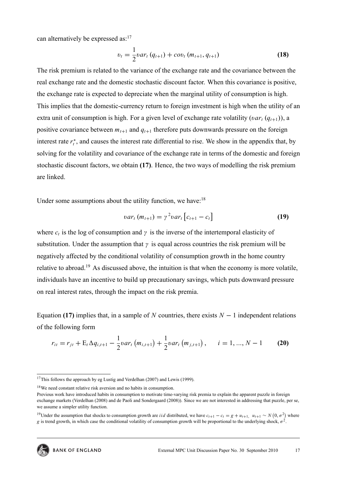can alternatively be expressed as:<sup>17</sup>

$$
v_t = \frac{1}{2}var_t(q_{t+1}) + cov_t(m_{t+1}, q_{t+1})
$$
\n(18)

The risk premium is related to the variance of the exchange rate and the covariance between the real exchange rate and the domestic stochastic discount factor. When this covariance is positive, the exchange rate is expected to depreciate when the marginal utility of consumption is high. This implies that the domestic-currency return to foreign investment is high when the utility of an extra unit of consumption is high. For a given level of exchange rate volatility (var<sub>t</sub>  $(q_{t+1})$ ), a positive covariance between  $m_{t+1}$  and  $q_{t+1}$  therefore puts downwards pressure on the foreign interest rate  $r_t^*$ , and causes the interest rate differential to rise. We show in the appendix that, by solving for the volatility and covariance of the exchange rate in terms of the domestic and foreign stochastic discount factors, we obtain (17). Hence, the two ways of modelling the risk premium are linked.

Under some assumptions about the utility function, we have: $18$ 

$$
var_t(m_{t+1}) = \gamma^2 var_t [c_{t+1} - c_t]
$$
 (19)

where  $c_t$  is the log of consumption and  $\gamma$  is the inverse of the intertemporal elasticity of substitution. Under the assumption that  $\gamma$  is equal across countries the risk premium will be negatively affected by the conditional volatility of consumption growth in the home country relative to abroad.<sup>19</sup> As discussed above, the intuition is that when the economy is more volatile, individuals have an incentive to build up precautionary savings, which puts downward pressure on real interest rates, through the impact on the risk premia.

Equation (17) implies that, in a sample of N countries, there exists  $N - 1$  independent relations of the following form

$$
r_{it} = r_{jt} + \mathbb{E}_t \Delta q_{i,t+1} - \frac{1}{2} \nu a r_t \left( m_{i,t+1} \right) + \frac{1}{2} \nu a r_t \left( m_{j,t+1} \right), \qquad i = 1, ..., N-1 \tag{20}
$$

<sup>18</sup>We need constant relative risk aversion and no habits in consumption.

<sup>&</sup>lt;sup>17</sup>This follows the approach by eg Lustig and Verdelhan (2007) and Lewis (1999).

Previous work have introduced habits in consumption to motivate time-varying risk premia to explain the apparent puzzle in foreign exchange markets (Verdelhan (2008) and de Paoli and Sondergaard (2008)). Since we are not interested in addressing that puzzle, per se, we assume a simpler utility function.

<sup>&</sup>lt;sup>19</sup>Under the assumption that shocks to consumption growth are *iid* distributed, we have  $c_{t+1} - c_t = g + u_{t+1}$ ,  $u_{t+1} \sim N(0, \sigma^2)$  where g is trend growth, in which case the conditional volatility of consumption growth will be proportional to the underlying shock,  $\sigma^2$ .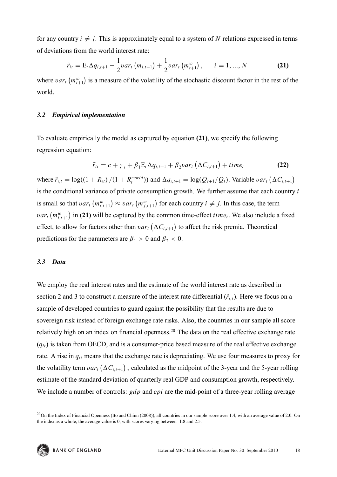for any country  $i \neq j$ . This is approximately equal to a system of N relations expressed in terms of deviations from the world interest rate:

$$
\tilde{r}_{it} = \mathcal{E}_t \Delta q_{i,t+1} - \frac{1}{2} \nu a r_t \left( m_{i,t+1} \right) + \frac{1}{2} \nu a r_t \left( m_{t+1}^w \right), \qquad i = 1, ..., N \tag{21}
$$

where  $var_t$  ( $m_{t+1}^w$ ) ) is a measure of the volatility of the stochastic discount factor in the rest of the world.

#### 3.2 Empirical implementation

To evaluate empirically the model as captured by equation (21), we specify the following regression equation:

$$
\tilde{r}_{it} = c + \gamma_i + \beta_1 \mathbb{E}_t \Delta q_{i,t+1} + \beta_2 \mathbb{v} \mathbb{a} r_t \left( \Delta C_{i,t+1} \right) + \text{time}_t \tag{22}
$$

where  $\tilde{r}_{i,t} = \log((1 + R_{it}) / (1 + R_t^{world}))$  and  $\Delta q_{i,t+1} = \log(Q_{t+1}/Q_t)$ . Variable  $var_t(\Delta C_{i,t+1})$ is the conditional variance of private consumption growth. We further assume that each country  $i$ is small so that  $var_t$  ( $m_{i,t+1}^w$  $\big) \approx var_t \left( m_{j,t+1}^w \right)$ ) for each country  $i \neq j$ . In this case, the term  $var_t(m_{i,t+1}^w)$ ) in (21) will be captured by the common time-effect  $time_t$ . We also include a fixed effect, to allow for factors other than  $var_t(\Delta C_{i,t+1})$  to affect the risk premia. Theoretical predictions for the parameters are  $\beta_1 > 0$  and  $\beta_2 < 0$ .

#### 3.3 Data

We employ the real interest rates and the estimate of the world interest rate as described in section 2 and 3 to construct a measure of the interest rate differential  $(\tilde{r}_{i,t})$ . Here we focus on a sample of developed countries to guard against the possibility that the results are due to sovereign risk instead of foreign exchange rate risks. Also, the countries in our sample all score relatively high on an index on financial openness.<sup>20</sup> The data on the real effective exchange rate  $(q_{it})$  is taken from OECD, and is a consumer-price based measure of the real effective exchange rate. A rise in  $q_{it}$  means that the exchange rate is depreciating. We use four measures to proxy for the volatility term  $var_t(\Delta C_{i,t+1})$ , calculated as the midpoint of the 3-year and the 5-year rolling estimate of the standard deviation of quarterly real GDP and consumption growth, respectively. We include a number of controls:  $gdp$  and  $cpi$  are the mid-point of a three-year rolling average

 $^{20}$ On the Index of Financial Openness (Ito and Chinn (2008)), all countries in our sample score over 1.4, with an average value of 2.0. On the index as a whole, the average value is 0, with scores varying between -1.8 and 2.5.

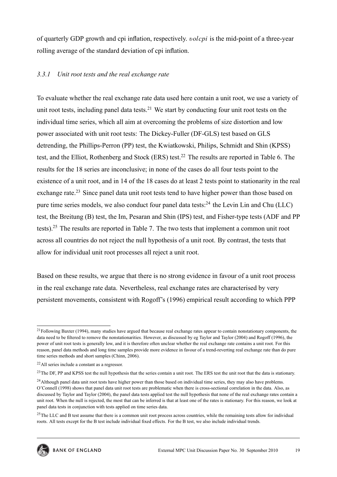of quarterly GDP growth and cpi inflation, respectively.  $\mathit{volcpi}$  is the mid-point of a three-year rolling average of the standard deviation of cpi inflation.

#### 3.3.1 Unit root tests and the real exchange rate

To evaluate whether the real exchange rate data used here contain a unit root, we use a variety of unit root tests, including panel data tests.<sup>21</sup> We start by conducting four unit root tests on the individual time series, which all aim at overcoming the problems of size distortion and low power associated with unit root tests: The Dickey-Fuller (DF-GLS) test based on GLS detrending, the Phillips-Perron (PP) test, the Kwiatkowski, Philips, Schmidt and Shin (KPSS) test, and the Elliot, Rothenberg and Stock (ERS) test.<sup>22</sup> The results are reported in Table 6. The results for the 18 series are inconclusive; in none of the cases do all four tests point to the existence of a unit root, and in 14 of the 18 cases do at least 2 tests point to stationarity in the real exchange rate.<sup>23</sup> Since panel data unit root tests tend to have higher power than those based on pure time series models, we also conduct four panel data tests: $^{24}$  the Levin Lin and Chu (LLC) test, the Breitung (B) test, the Im, Pesaran and Shin (IPS) test, and Fisher-type tests (ADF and PP tests).<sup>25</sup> The results are reported in Table 7. The two tests that implement a common unit root across all countries do not reject the null hypothesis of a unit root. By contrast, the tests that allow for individual unit root processes all reject a unit root.

Based on these results, we argue that there is no strong evidence in favour of a unit root process in the real exchange rate data. Nevertheless, real exchange rates are characterised by very persistent movements, consistent with Rogoff's (1996) empirical result according to which PPP

 $25$ The LLC and B test assume that there is a common unit root process across countries, while the remaining tests allow for individual roots. All tests except for the B test include individual fixed effects. For the B test, we also include individual trends.



 $^{21}$ Following Baxter (1994), many studies have argued that because real exchange rates appear to contain nonstationary components, the data need to be filtered to remove the nonstationarities. However, as discussed by eg Taylor and Taylor (2004) and Rogoff (1996), the power of unit root tests is generally low, and it is therefore often unclear whether the real exchange rate contains a unit root. For this reason, panel data methods and long time samples provide more evidence in favour of a trend-reverting real exchange rate than do pure time series methods and short samples (Chinn, 2006).

<sup>22</sup>All series include a constant as a regressor.

<sup>&</sup>lt;sup>23</sup>The DF, PP and KPSS test the null hypothesis that the series contain a unit root. The ERS test the unit root that the data is stationary.

 $^{24}$ Although panel data unit root tests have higher power than those based on individual time series, they may also have problems. O'Connell (1998) shows that panel data unit root tests are problematic when there is cross-sectional correlation in the data. Also, as discussed by Taylor and Taylor (2004), the panel data tests applied test the null hypothesis that none of the real exchange rates contain a unit root. When the null is rejected, the most that can be inferred is that at least one of the rates is stationary. For this reason, we look at panel data tests in conjunction with tests applied on time series data.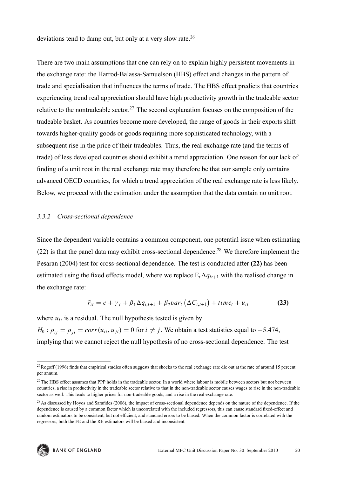deviations tend to damp out, but only at a very slow rate.<sup>26</sup>

There are two main assumptions that one can rely on to explain highly persistent movements in the exchange rate: the Harrod-Balassa-Samuelson (HBS) effect and changes in the pattern of trade and specialisation that influences the terms of trade. The HBS effect predicts that countries experiencing trend real appreciation should have high productivity growth in the tradeable sector relative to the nontradeable sector.<sup>27</sup> The second explanation focuses on the composition of the tradeable basket. As countries become more developed, the range of goods in their exports shift towards higher-quality goods or goods requiring more sophisticated technology, with a subsequent rise in the price of their tradeables. Thus, the real exchange rate (and the terms of trade) of less developed countries should exhibit a trend appreciation. One reason for our lack of finding of a unit root in the real exchange rate may therefore be that our sample only contains advanced OECD countries, for which a trend appreciation of the real exchange rate is less likely. Below, we proceed with the estimation under the assumption that the data contain no unit root.

#### 3.3.2 Cross-sectional dependence

Since the dependent variable contains a common component, one potential issue when estimating  $(22)$  is that the panel data may exhibit cross-sectional dependence.<sup>28</sup> We therefore implement the Pesaran (2004) test for cross-sectional dependence. The test is conducted after (22) has been estimated using the fixed effects model, where we replace  $E_t \Delta q_{it+1}$  with the realised change in the exchange rate:

$$
\tilde{r}_{it} = c + \gamma_i + \beta_1 \Delta q_{i,t+1} + \beta_2 \nu a r_t \left( \Delta C_{i,t+1} \right) + time_t + u_{it}
$$
\n(23)

where  $u_{it}$  is a residual. The null hypothesis tested is given by  $H_0$ :  $\rho_{ij} = \rho_{ji} = corr(u_{it}, u_{jt}) = 0$  for  $i \neq j$ . We obtain a test statistics equal to -5.474, implying that we cannot reject the null hypothesis of no cross-sectional dependence. The test

 $^{28}$ As discussed by Hoyos and Sarafides (2006), the impact of cross-sectional dependence depends on the nature of the dependence. If the dependence is caused by a common factor which is uncorrelated with the included regressors, this can cause standard fixed-effect and random estimators to be consistent, but not efficient, and standard errors to be biased. When the common factor is correlated with the regressors, both the FE and the RE estimators will be biased and inconsistent.



 $^{26}$ Rogoff (1996) finds that empirical studies often suggests that shocks to the real exchange rate die out at the rate of around 15 percent per annum.

<sup>&</sup>lt;sup>27</sup>The HBS effect assumes that PPP holds in the tradeable sector. In a world where labour is mobile between sectors but not between countries, a rise in productivity in the tradeable sector relative to that in the non-tradeable sector causes wages to rise in the non-tradeable sector as well. This leads to higher prices for non-tradeable goods, and a rise in the real exchange rate.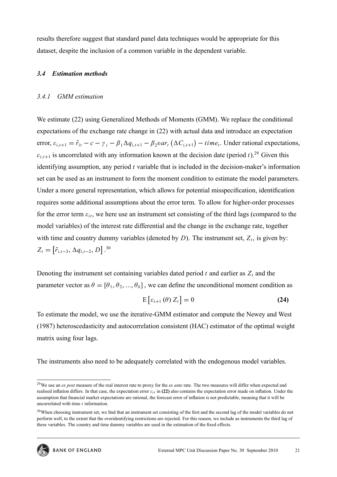results therefore suggest that standard panel data techniques would be appropriate for this dataset, despite the inclusion of a common variable in the dependent variable.

#### 3.4 Estimation methods

#### 3.4.1 GMM estimation

We estimate (22) using Generalized Methods of Moments (GMM). We replace the conditional expectations of the exchange rate change in  $(22)$  with actual data and introduce an expectation error,  $\varepsilon_{i,t+1} = \tilde{r}_{it} - c - \gamma_i - \beta_1 \Delta q_{i,t+1} - \beta_2 \nu a r_t (\Delta C_{i,t+1}) - time_t$ . Under rational expectations,  $\varepsilon_{i,t+1}$  is uncorrelated with any information known at the decision date (period t).<sup>29</sup> Given this identifying assumption, any period  $t$  variable that is included in the decision-maker's information set can be used as an instrument to form the moment condition to estimate the model parameters. Under a more general representation, which allows for potential misspecification, identification requires some additional assumptions about the error term. To allow for higher-order processes for the error term  $\varepsilon_{it}$ , we here use an instrument set consisting of the third lags (compared to the model variables) of the interest rate differential and the change in the exchange rate, together with time and country dummy variables (denoted by  $D$ ). The instrument set,  $Z_t$ , is given by:  $Z_t = [\tilde{r}_{i,t-3}, \Delta q_{i,t-2}, D].^{30}$ 

Denoting the instrument set containing variables dated period  $t$  and earlier as  $Z_t$  and the parameter vector as  $\theta = [\theta_1, \theta_2, ..., \theta_k]$ , we can define the unconditional moment condition as

$$
E\left[\varepsilon_{t+1}\left(\theta\right)Z_{t}\right]=0\tag{24}
$$

To estimate the model, we use the iterative-GMM estimator and compute the Newey and West (1987) heteroscedasticity and autocorrelation consistent (HAC) estimator of the optimal weight matrix using four lags.

The instruments also need to be adequately correlated with the endogenous model variables.

 $30$ When choosing instrument set, we find that an instrument set consisting of the first and the second lag of the model variables do not perform well, to the extent that the overidentifying restrictions are rejected. For this reason, we include as instruments the third lag of these variables. The country and time dummy variables are used in the estimation of the fixed effects.



<sup>&</sup>lt;sup>29</sup>We use an *ex post* measure of the real interest rate to proxy for the *ex ante* rate. The two measures will differ when expected and realised inflation differs. In that case, the expectation error  $\varepsilon_{it}$  in (22) also contains the expectation error made on inflation. Under the assumption that financial market expectations are rational, the forecast error of inflation is not predictable, meaning that it will be uncorrelated with time  $t$  information.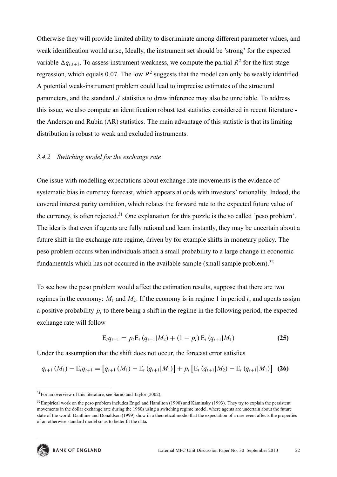Otherwise they will provide limited ability to discriminate among different parameter values, and weak identification would arise, Ideally, the instrument set should be 'strong' for the expected variable  $\Delta q_{i,t+1}$ . To assess instrument weakness, we compute the partial  $R^2$  for the first-stage regression, which equals 0.07. The low  $R^2$  suggests that the model can only be weakly identified. A potential weak-instrument problem could lead to imprecise estimates of the structural parameters, and the standard J statistics to draw inference may also be unreliable. To address this issue, we also compute an identification robust test statistics considered in recent literature the Anderson and Rubin (AR) statistics. The main advantage of this statistic is that its limiting distribution is robust to weak and excluded instruments.

#### 3.4.2 Switching model for the exchange rate

One issue with modelling expectations about exchange rate movements is the evidence of systematic bias in currency forecast, which appears at odds with investors' rationality. Indeed, the covered interest parity condition, which relates the forward rate to the expected future value of the currency, is often rejected.<sup>31</sup> One explanation for this puzzle is the so called 'peso problem'. The idea is that even if agents are fully rational and learn instantly, they may be uncertain about a future shift in the exchange rate regime, driven by for example shifts in monetary policy. The peso problem occurs when individuals attach a small probability to a large change in economic fundamentals which has not occurred in the available sample (small sample problem).<sup>32</sup>

To see how the peso problem would affect the estimation results, suppose that there are two regimes in the economy:  $M_1$  and  $M_2$ . If the economy is in regime 1 in period t, and agents assign a positive probability  $p_t$  to there being a shift in the regime in the following period, the expected exchange rate will follow

$$
E_t q_{t+1} = p_t E_t (q_{t+1} | M_2) + (1 - p_t) E_t (q_{t+1} | M_1)
$$
\n(25)

Under the assumption that the shift does not occur, the forecast error satisfies

$$
q_{t+1}(M_1) - \mathrm{E}_t q_{t+1} = [q_{t+1}(M_1) - \mathrm{E}_t (q_{t+1}|M_1)] + p_t [ \mathrm{E}_t (q_{t+1}|M_2) - \mathrm{E}_t (q_{t+1}|M_1)] \hspace{1em} (26)
$$

 $32$ Empirical work on the peso problem includes Engel and Hamilton (1990) and Kaminsky (1993). They try to explain the persistent movements in the dollar exchange rate during the 1980s using a switching regime model, where agents are uncertain about the future state of the world. Danthine and Donaldson (1999) show in a theoretical model that the expectation of a rare event affects the properties of an otherwise standard model so as to better fit the data.



<sup>31</sup>For an overview of this literature, see Sarno and Taylor (2002).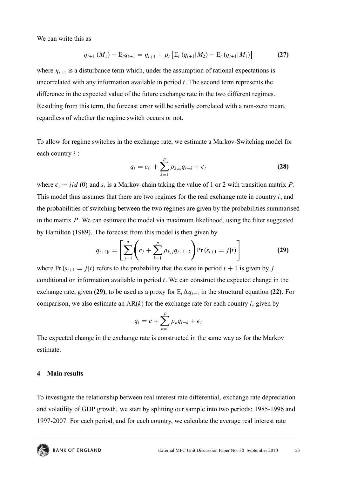We can write this as

$$
q_{t+1}(M_1) - \mathrm{E}_t q_{t+1} = \eta_{t+1} + p_t \left[ \mathrm{E}_t (q_{t+1}|M_2) - \mathrm{E}_t (q_{t+1}|M_1) \right] \tag{27}
$$

where  $\eta_{t+1}$  is a disturbance term which, under the assumption of rational expectations is uncorrelated with any information available in period  $t$ . The second term represents the difference in the expected value of the future exchange rate in the two different regimes. Resulting from this term, the forecast error will be serially correlated with a non-zero mean, regardless of whether the regime switch occurs or not.

To allow for regime switches in the exchange rate, we estimate a Markov-Switching model for each country *i* :

$$
q_t = c_{s_t} + \sum_{k=1}^p \rho_{k,s_t} q_{t-k} + \epsilon_t
$$
 (28)

where  $\epsilon_t \sim \text{i} \mathbf{i} d$  (0) and  $s_t$  is a Markov-chain taking the value of 1 or 2 with transition matrix P. This model thus assumes that there are two regimes for the real exchange rate in country  $i$ , and the probabilities of switching between the two regimes are given by the probabilities summarised in the matrix  $P$ . We can estimate the model via maximum likelihood, using the filter suggested by Hamilton (1989). The forecast from this model is then given by

$$
q_{t+1|t} = \left[\sum_{j=1}^{2} \left(c_j + \sum_{k=1}^{p} \rho_{k,j} q_{t+1-k}\right) \Pr\left(s_{t+1} = j | t\right)\right]
$$
(29)

where Pr  $(s_{t+1} = j|t)$  refers to the probability that the state in period  $t + 1$  is given by j conditional on information available in period  $t$ . We can construct the expected change in the exchange rate, given (29), to be used as a proxy for  $E_t \Delta q_{t+1}$  in the structural equation (22). For comparison, we also estimate an  $AR(k)$  for the exchange rate for each country *i*, given by

$$
q_t = c + \sum_{k=1}^p \rho_k q_{t-k} + \epsilon_t
$$

The expected change in the exchange rate is constructed in the same way as for the Markov estimate.

#### 4 Main results

To investigate the relationship between real interest rate differential; exchange rate depreciation and volatility of GDP growth; we start by splitting our sample into two periods: 1985-1996 and 1997-2007. For each period, and for each country, we calculate the average real interest rate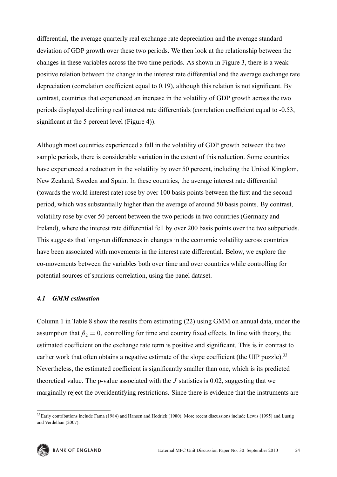differential, the average quarterly real exchange rate depreciation and the average standard deviation of GDP growth over these two periods: We then look at the relationship between the changes in these variables across the two time periods. As shown in Figure 3, there is a weak positive relation between the change in the interest rate differential and the average exchange rate depreciation (correlation coefficient equal to 0.19), although this relation is not significant. By contrast, countries that experienced an increase in the volatility of GDP growth across the two periods displayed declining real interest rate differentials (correlation coefficient equal to -0.53, significant at the 5 percent level (Figure 4)).

Although most countries experienced a fall in the volatility of GDP growth between the two sample periods, there is considerable variation in the extent of this reduction. Some countries have experienced a reduction in the volatility by over 50 percent, including the United Kingdom, New Zealand, Sweden and Spain. In these countries, the average interest rate differential (towards the world interest rate) rose by over 100 basis points between the first and the second period, which was substantially higher than the average of around 50 basis points. By contrast, volatility rose by over 50 percent between the two periods in two countries (Germany and Ireland), where the interest rate differential fell by over 200 basis points over the two subperiods. This suggests that long-run differences in changes in the economic volatility across countries have been associated with movements in the interest rate differential. Below, we explore the co-movements between the variables both over time and over countries while controlling for potential sources of spurious correlation, using the panel dataset.

#### 4.1 GMM estimation

Column 1 in Table 8 show the results from estimating  $(22)$  using GMM on annual data, under the assumption that  $\beta_2 = 0$ , controlling for time and country fixed effects. In line with theory, the estimated coefficient on the exchange rate term is positive and significant. This is in contrast to earlier work that often obtains a negative estimate of the slope coefficient (the UIP puzzle).<sup>33</sup> Nevertheless, the estimated coefficient is significantly smaller than one, which is its predicted theoretical value. The p-value associated with the  $J$  statistics is 0.02, suggesting that we marginally reject the overidentifying restrictions. Since there is evidence that the instruments are

 $33$ Early contributions include Fama (1984) and Hansen and Hodrick (1980). More recent discussions include Lewis (1995) and Lustig and Verdelhan (2007).

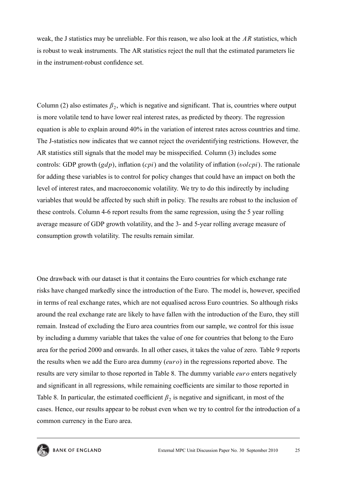weak, the J statistics may be unreliable. For this reason, we also look at the  $AR$  statistics, which is robust to weak instruments. The AR statistics reject the null that the estimated parameters lie in the instrument-robust confidence set.

Column (2) also estimates  $\beta_2$ , which is negative and significant. That is, countries where output is more volatile tend to have lower real interest rates, as predicted by theory. The regression equation is able to explain around 40% in the variation of interest rates across countries and time. The J-statistics now indicates that we cannot reject the overidentifying restrictions. However, the AR statistics still signals that the model may be misspecified. Column (3) includes some controls: GDP growth  $(gdp)$ , inflation  $(cpi)$  and the volatility of inflation (volcpi). The rationale for adding these variables is to control for policy changes that could have an impact on both the level of interest rates, and macroeconomic volatility. We try to do this indirectly by including variables that would be affected by such shift in policy. The results are robust to the inclusion of these controls. Column 4-6 report results from the same regression, using the 5 year rolling average measure of GDP growth volatility, and the 3- and 5-year rolling average measure of consumption growth volatility. The results remain similar.

One drawback with our dataset is that it contains the Euro countries for which exchange rate risks have changed markedly since the introduction of the Euro. The model is, however, specified in terms of real exchange rates, which are not equalised across Euro countries. So although risks around the real exchange rate are likely to have fallen with the introduction of the Euro, they still remain. Instead of excluding the Euro area countries from our sample, we control for this issue by including a dummy variable that takes the value of one for countries that belong to the Euro area for the period 2000 and onwards. In all other cases, it takes the value of zero. Table 9 reports the results when we add the Euro area dummy  $(euro)$  in the regressions reported above. The results are very similar to those reported in Table 8. The dummy variable *eur o* enters negatively and significant in all regressions, while remaining coefficients are similar to those reported in Table 8. In particular, the estimated coefficient  $\beta_2$  is negative and significant, in most of the cases. Hence, our results appear to be robust even when we try to control for the introduction of a common currency in the Euro area.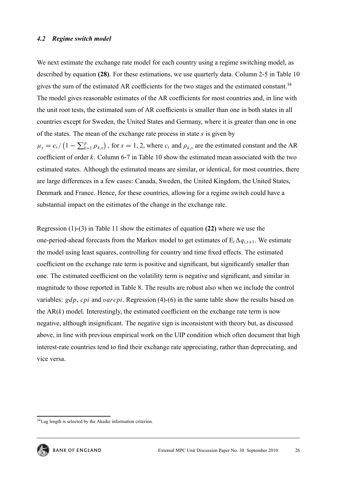#### 4.2 Regime switch model

We next estimate the exchange rate model for each country using a regime switching model, as described by equation (28). For these estimations, we use quarterly data. Column 2-5 in Table 10 gives the sum of the estimated AR coefficients for the two stages and the estimated constant.<sup>34</sup> The model gives reasonable estimates of the AR coefficients for most countries and, in line with the unit root tests, the estimated sum of AR coefficients is smaller than one in both states in all countries except for Sweden, the United States and Germany, where it is greater than one in one of the states. The mean of the exchange rate process in state s is given by

 $\mu_s = c_s / (1 - \sum_{k=1}^p \rho_{k,s})$ , for  $s = 1, 2$ , where  $c_s$  and  $\rho_{k,s}$  are the estimated constant and the AR coefficient of order  $k$ . Column 6-7 in Table 10 show the estimated mean associated with the two estimated states. Although the estimated means are similar, or identical, for most countries, there are large differences in a few cases: Canada, Sweden, the United Kingdom, the United States, Denmark and France. Hence, for these countries, allowing for a regime switch could have a substantial impact on the estimates of the change in the exchange rate.

Regression (1)-(3) in Table 11 show the estimates of equation (22) where we use the one-period-ahead forecasts from the Markov model to get estimates of  $E_t \Delta q_{i,t+1}$ . We estimate the model using least squares, controlling for country and time fixed effects. The estimated coefficient on the exchange rate term is positive and significant, but significantly smaller than one. The estimated coefficient on the volatility term is negative and significant, and similar in magnitude to those reported in Table 8. The results are robust also when we include the control variables:  $gdp$ , cpi and varcpi. Regression (4)-(6) in the same table show the results based on the  $AR(k)$  model. Interestingly, the estimated coefficient on the exchange rate term is now negative, although insignificant. The negative sign is inconsistent with theory but, as discussed above, in line with previous empirical work on the UIP condition which often document that high interest-rate countries tend to find their exchange rate appreciating, rather than depreciating, and vice versa.

<sup>&</sup>lt;sup>34</sup> Lag length is selected by the Akaike information criterion.

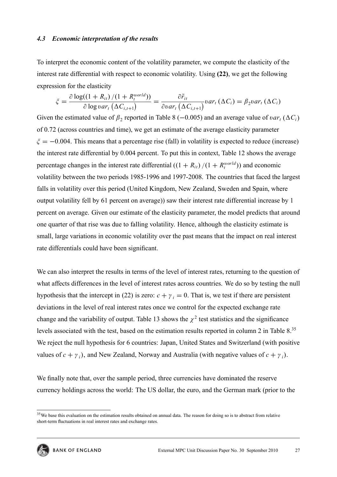#### 4.3 Economic interpretation of the results

To interpret the economic content of the volatility parameter, we compute the elasticity of the interest rate differential with respect to economic volatility. Using (22), we get the following expression for the elasticity

$$
\xi = \frac{\partial \log((1 + R_{it})/(1 + R_t^{word}))}{\partial \log var_t (\Delta C_{i,t+1})} = \frac{\partial \tilde{r}_{it}}{\partial var_t (\Delta C_{i,t+1})} var_t (\Delta C_i) = \beta_2 var_t (\Delta C_i)
$$

Given the estimated value of  $\beta_2$  reported in Table 8 (-0.005) and an average value of  $var_t(\Delta C_i)$ of 0.72 (across countries and time), we get an estimate of the average elasticity parameter  $\xi = -0.004$ . This means that a percentage rise (fall) in volatility is expected to reduce (increase) the interest rate differential by 0.004 percent. To put this in context, Table 12 shows the average percentage changes in the interest rate differential  $((1 + R_{it}) / (1 + R_t^{world}))$  and economic volatility between the two periods 1985-1996 and 1997-2008. The countries that faced the largest falls in volatility over this period (United Kingdom, New Zealand, Sweden and Spain, where output volatility fell by 61 percent on average)) saw their interest rate differential increase by 1 percent on average. Given our estimate of the elasticity parameter, the model predicts that around one quarter of that rise was due to falling volatility. Hence, although the elasticity estimate is small, large variations in economic volatility over the past means that the impact on real interest rate differentials could have been significant.

We can also interpret the results in terms of the level of interest rates, returning to the question of what affects differences in the level of interest rates across countries. We do so by testing the null hypothesis that the intercept in (22) is zero:  $c + \gamma_i = 0$ . That is, we test if there are persistent deviations in the level of real interest rates once we control for the expected exchange rate change and the variability of output. Table 13 shows the  $\chi^2$  test statistics and the significance levels associated with the test, based on the estimation results reported in column 2 in Table 8.<sup>35</sup> We reject the null hypothesis for 6 countries: Japan, United States and Switzerland (with positive values of  $c + \gamma_i$ ), and New Zealand, Norway and Australia (with negative values of  $c + \gamma_i$ ).

We finally note that, over the sample period, three currencies have dominated the reserve currency holdings across the world: The US dollar, the euro, and the German mark (prior to the

<sup>&</sup>lt;sup>35</sup>We base this evaluation on the estimation results obtained on annual data. The reason for doing so is to abstract from relative short-term fluctuations in real interest rates and exchange rates.

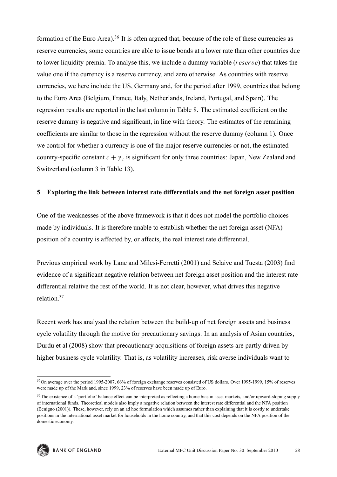formation of the Euro Area).<sup>36</sup> It is often argued that, because of the role of these currencies as reserve currencies, some countries are able to issue bonds at a lower rate than other countries due to lower liquidity premia. To analyse this, we include a dummy variable (reserve) that takes the value one if the currency is a reserve currency, and zero otherwise. As countries with reserve currencies, we here include the US, Germany and, for the period after 1999, countries that belong to the Euro Area (Belgium, France, Italy, Netherlands, Ireland, Portugal, and Spain). The regression results are reported in the last column in Table 8. The estimated coefficient on the reserve dummy is negative and significant, in line with theory. The estimates of the remaining coefficients are similar to those in the regression without the reserve dummy (column 1). Once we control for whether a currency is one of the major reserve currencies or not, the estimated country-specific constant  $c + \gamma_i$  is significant for only three countries: Japan, New Zealand and Switzerland (column 3 in Table 13).

#### 5 Exploring the link between interest rate differentials and the net foreign asset position

One of the weaknesses of the above framework is that it does not model the portfolio choices made by individuals. It is therefore unable to establish whether the net foreign asset (NFA) position of a country is affected by, or affects, the real interest rate differential.

Previous empirical work by Lane and Milesi-Ferretti (2001) and Selaive and Tuesta (2003) find evidence of a significant negative relation between net foreign asset position and the interest rate differential relative the rest of the world. It is not clear, however, what drives this negative relation.<sup>37</sup>

Recent work has analysed the relation between the build-up of net foreign assets and business cycle volatility through the motive for precautionary savings. In an analysis of Asian countries, Durdu et al (2008) show that precautionary acquisitions of foreign assets are partly driven by higher business cycle volatility. That is, as volatility increases, risk averse individuals want to

 $37$ The existence of a 'portfolio' balance effect can be interpreted as reflecting a home bias in asset markets, and/or upward-sloping supply of international funds. Theoretical models also imply a negative relation between the interest rate differential and the NFA position (Benigno (2001)). These, however, rely on an ad hoc formulation which assumes rather than explaining that it is costly to undertake positions in the international asset market for households in the home country, and that this cost depends on the NFA position of the domestic economy.



<sup>36</sup>On average over the period 1995-2007, 66% of foreign exchange reserves consisted of US dollars. Over 1995-1999, 15% of reserves were made up of the Mark and, since 1999, 23% of reserves have been made up of Euro.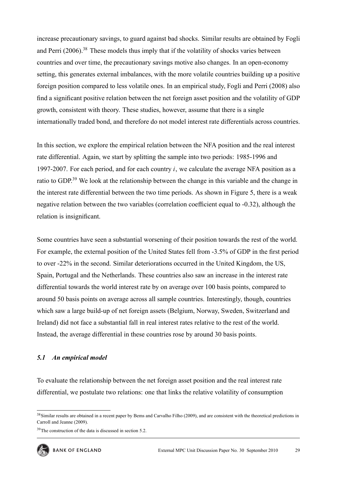increase precautionary savings, to guard against bad shocks. Similar results are obtained by Fogli and Perri  $(2006)$ .<sup>38</sup> These models thus imply that if the volatility of shocks varies between countries and over time, the precautionary savings motive also changes. In an open-economy setting, this generates external imbalances, with the more volatile countries building up a positive foreign position compared to less volatile ones. In an empirical study, Fogli and Perri (2008) also find a significant positive relation between the net foreign asset position and the volatility of GDP growth, consistent with theory. These studies, however, assume that there is a single internationally traded bond, and therefore do not model interest rate differentials across countries.

In this section, we explore the empirical relation between the NFA position and the real interest rate differential. Again, we start by splitting the sample into two periods: 1985-1996 and 1997-2007. For each period, and for each country  $i$ , we calculate the average NFA position as a ratio to GDP.<sup>39</sup> We look at the relationship between the change in this variable and the change in the interest rate differential between the two time periods. As shown in Figure 5, there is a weak negative relation between the two variables (correlation coefficient equal to -0.32), although the relation is insignificant.

Some countries have seen a substantial worsening of their position towards the rest of the world. For example, the external position of the United States fell from -3.5% of GDP in the first period to over -22% in the second. Similar deteriorations occurred in the United Kingdom, the US, Spain, Portugal and the Netherlands. These countries also saw an increase in the interest rate differential towards the world interest rate by on average over 100 basis points, compared to around 50 basis points on average across all sample countries. Interestingly, though, countries which saw a large build-up of net foreign assets (Belgium, Norway, Sweden, Switzerland and Ireland) did not face a substantial fall in real interest rates relative to the rest of the world. Instead, the average differential in these countries rose by around 30 basis points.

#### 5.1 An empirical model

To evaluate the relationship between the net foreign asset position and the real interest rate differential, we postulate two relations: one that links the relative volatility of consumption

<sup>39</sup>The construction of the data is discussed in section 5.2.



<sup>&</sup>lt;sup>38</sup>Similar results are obtained in a recent paper by Bems and Carvalho Filho (2009), and are consistent with the theoretical predictions in Carroll and Jeanne (2009).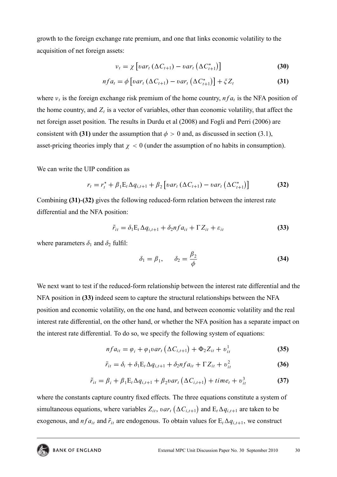growth to the foreign exchange rate premium, and one that links economic volatility to the acquisition of net foreign assets:

$$
\nu_t = \chi \left[ var_t \left( \Delta C_{t+1} \right) - var_t \left( \Delta C_{t+1}^* \right) \right]
$$
 (30)

$$
nf a_t = \phi \left[ var_t \left( \Delta C_{t+1} \right) - var_t \left( \Delta C_{t+1}^* \right) \right] + \zeta Z_t \tag{31}
$$

where  $v_t$  is the foreign exchange risk premium of the home country,  $nf a_t$  is the NFA position of the home country, and  $Z_t$  is a vector of variables, other than economic volatility, that affect the net foreign asset position. The results in Durdu et al (2008) and Fogli and Perri (2006) are consistent with (31) under the assumption that  $\phi > 0$  and, as discussed in section (3.1), asset-pricing theories imply that  $\gamma < 0$  (under the assumption of no habits in consumption).

We can write the UIP condition as

$$
r_{t} = r_{t}^{*} + \beta_{1} \mathbb{E}_{t} \Delta q_{i,t+1} + \beta_{2} \left[ var_{t} \left( \Delta C_{t+1} \right) - var_{t} \left( \Delta C_{t+1}^{*} \right) \right]
$$
(32)

Combining (31)-(32) gives the following reduced-form relation between the interest rate differential and the NFA position:

$$
\tilde{r}_{it} = \delta_1 \mathbf{E}_t \Delta q_{i,t+1} + \delta_2 n f a_{it} + \Gamma Z_{it} + \varepsilon_{it}
$$
\n(33)

where parameters  $\delta_1$  and  $\delta_2$  fulfil:

$$
\delta_1 = \beta_1, \qquad \delta_2 = \frac{\beta_2}{\phi} \tag{34}
$$

We next want to test if the reduced-form relationship between the interest rate differential and the NFA position in (33) indeed seem to capture the structural relationships between the NFA position and economic volatility, on the one hand, and between economic volatility and the real interest rate differential, on the other hand, or whether the NFA position has a separate impact on the interest rate differential. To do so, we specify the following system of equations:

$$
nf a_{it} = \varphi_i + \varphi_1 var_t (\Delta C_{i,t+1}) + \Phi_2 Z_{it} + v_{it}^1
$$
 (35)

$$
\tilde{r}_{it} = \delta_i + \delta_1 \mathbf{E}_t \Delta q_{i,t+1} + \delta_2 n f a_{it} + \Gamma Z_{it} + v_{it}^2 \tag{36}
$$

$$
\tilde{r}_{it} = \beta_i + \beta_1 \mathbf{E}_t \Delta q_{i,t+1} + \beta_2 \nu \, ar_t \left( \Delta C_{i,t+1} \right) + \text{time}_t + \nu_{it}^3 \tag{37}
$$

where the constants capture country fixed effects. The three equations constitute a system of simultaneous equations, where variables  $Z_{it}$ ,  $var_t(\Delta C_{i,t+1})$  and  $E_t \Delta q_{i,t+1}$  are taken to be exogenous, and  $nf_{di}$  and  $\tilde{r}_{it}$  are endogenous. To obtain values for  $E_t\Delta q_{i,t+1}$ , we construct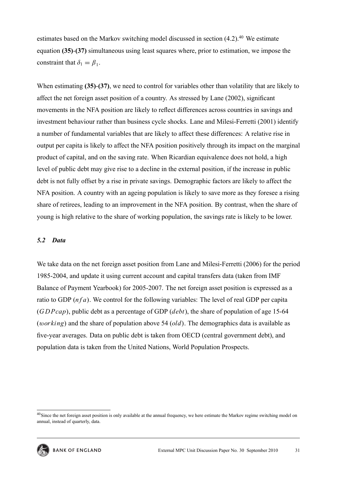estimates based on the Markov switching model discussed in section  $(4.2)$ .<sup>40</sup> We estimate equation (35)-(37) simultaneous using least squares where, prior to estimation, we impose the constraint that  $\delta_1 = \beta_1$ .

When estimating (35)-(37), we need to control for variables other than volatility that are likely to affect the net foreign asset position of a country. As stressed by Lane (2002), significant movements in the NFA position are likely to reflect differences across countries in savings and investment behaviour rather than business cycle shocks. Lane and Milesi-Ferretti (2001) identify a number of fundamental variables that are likely to affect these differences: A relative rise in output per capita is likely to affect the NFA position positively through its impact on the marginal product of capital, and on the saving rate. When Ricardian equivalence does not hold, a high level of public debt may give rise to a decline in the external position, if the increase in public debt is not fully offset by a rise in private savings. Demographic factors are likely to affect the NFA position. A country with an ageing population is likely to save more as they foresee a rising share of retirees, leading to an improvement in the NFA position. By contrast, when the share of young is high relative to the share of working population, the savings rate is likely to be lower.

#### 5.2 Data

We take data on the net foreign asset position from Lane and Milesi-Ferretti (2006) for the period 1985-2004, and update it using current account and capital transfers data (taken from IMF Balance of Payment Yearbook) for 2005-2007. The net foreign asset position is expressed as a ratio to GDP  $(nfa)$ . We control for the following variables: The level of real GDP per capita  $(GDPcap)$ , public debt as a percentage of GDP (*debt*), the share of population of age 15-64 (working) and the share of population above 54 (old). The demographics data is available as five-year averages. Data on public debt is taken from OECD (central government debt), and population data is taken from the United Nations, World Population Prospects.

<sup>&</sup>lt;sup>40</sup>Since the net foreign asset position is only available at the annual frequency, we here estimate the Markov regime switching model on annual, instead of quarterly, data.

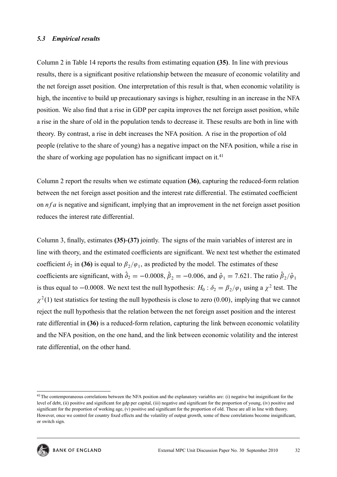#### 5.3 Empirical results

Column 2 in Table 14 reports the results from estimating equation (35). In line with previous results, there is a significant positive relationship between the measure of economic volatility and the net foreign asset position. One interpretation of this result is that, when economic volatility is high, the incentive to build up precautionary savings is higher, resulting in an increase in the NFA position. We also find that a rise in GDP per capita improves the net foreign asset position, while a rise in the share of old in the population tends to decrease it. These results are both in line with theory. By contrast, a rise in debt increases the NFA position. A rise in the proportion of old people (relative to the share of young) has a negative impact on the NFA position, while a rise in the share of working age population has no significant impact on it.<sup>41</sup>

Column 2 report the results when we estimate equation (36), capturing the reduced-form relation between the net foreign asset position and the interest rate differential. The estimated coefficient on  $nfa$  is negative and significant, implying that an improvement in the net foreign asset position reduces the interest rate differential.

Column 3, finally, estimates  $(35)-(37)$  jointly. The signs of the main variables of interest are in line with theory, and the estimated coefficients are significant. We next test whether the estimated coefficient  $\delta_2$  in (36) is equal to  $\beta_2/\varphi_1$ , as predicted by the model. The estimates of these coefficients are significant, with  $\hat{\delta}_2 = -0.0008$ ,  $\hat{\beta}_2 = -0.006$ , and  $\hat{\varphi}_1 = 7.621$ . The ratio  $\hat{\beta}_2/\hat{\varphi}_1$ is thus equal to  $-0.0008$ . We next test the null hypothesis:  $H_0 : \delta_2 = \beta_2/\varphi_1$  using a  $\chi^2$  test. The  $\chi^2(1)$  test statistics for testing the null hypothesis is close to zero (0.00), implying that we cannot reject the null hypothesis that the relation between the net foreign asset position and the interest rate differential in (36) is a reduced-form relation, capturing the link between economic volatility and the NFA position, on the one hand, and the link between economic volatility and the interest rate differential, on the other hand.

 $41$ The contemporaneous correlations between the NFA position and the explanatory variables are: (i) negative but insignificant for the level of debt, (ii) positive and significant for gdp per capital, (iii) negative and significant for the proportion of young, (iv) positive and significant for the proportion of working age, (v) positive and significant for the proportion of old. These are all in line with theory. However, once we control for country fixed effects and the volatility of output growth, some of these correlations become insignificant, or switch sign.

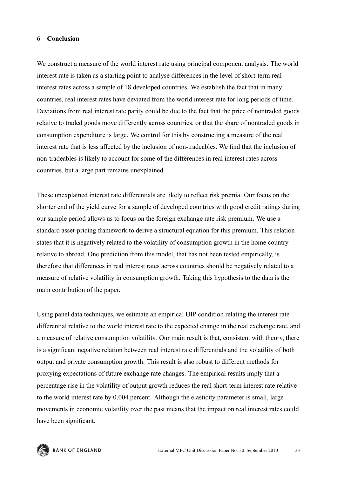#### 6 Conclusion

We construct a measure of the world interest rate using principal component analysis. The world interest rate is taken as a starting point to analyse differences in the level of short-term real interest rates across a sample of 18 developed countries. We establish the fact that in many countries, real interest rates have deviated from the world interest rate for long periods of time. Deviations from real interest rate parity could be due to the fact that the price of nontraded goods relative to traded goods move differently across countries, or that the share of nontraded goods in consumption expenditure is large. We control for this by constructing a measure of the real interest rate that is less affected by the inclusion of non-tradeables. We find that the inclusion of non-tradeables is likely to account for some of the differences in real interest rates across countries, but a large part remains unexplained.

These unexplained interest rate differentials are likely to reflect risk premia. Our focus on the shorter end of the yield curve for a sample of developed countries with good credit ratings during our sample period allows us to focus on the foreign exchange rate risk premium. We use a standard asset-pricing framework to derive a structural equation for this premium. This relation states that it is negatively related to the volatility of consumption growth in the home country relative to abroad. One prediction from this model, that has not been tested empirically, is therefore that differences in real interest rates across countries should be negatively related to a measure of relative volatility in consumption growth. Taking this hypothesis to the data is the main contribution of the paper.

Using panel data techniques, we estimate an empirical UIP condition relating the interest rate differential relative to the world interest rate to the expected change in the real exchange rate, and a measure of relative consumption volatility. Our main result is that, consistent with theory, there is a significant negative relation between real interest rate differentials and the volatility of both output and private consumption growth. This result is also robust to different methods for proxying expectations of future exchange rate changes. The empirical results imply that a percentage rise in the volatility of output growth reduces the real short-term interest rate relative to the world interest rate by 0:004 percent. Although the elasticity parameter is small, large movements in economic volatility over the past means that the impact on real interest rates could have been significant.

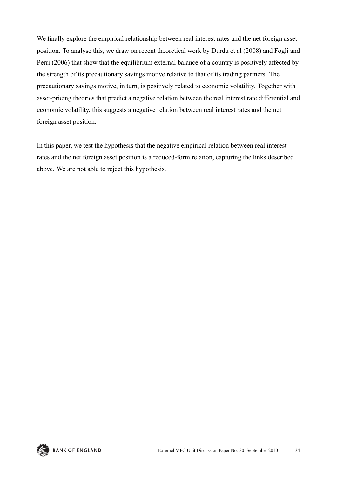We finally explore the empirical relationship between real interest rates and the net foreign asset position. To analyse this, we draw on recent theoretical work by Durdu et al (2008) and Fogli and Perri (2006) that show that the equilibrium external balance of a country is positively affected by the strength of its precautionary savings motive relative to that of its trading partners. The precautionary savings motive, in turn, is positively related to economic volatility. Together with asset-pricing theories that predict a negative relation between the real interest rate differential and economic volatility, this suggests a negative relation between real interest rates and the net foreign asset position.

In this paper, we test the hypothesis that the negative empirical relation between real interest rates and the net foreign asset position is a reduced-form relation, capturing the links described above. We are not able to reject this hypothesis.

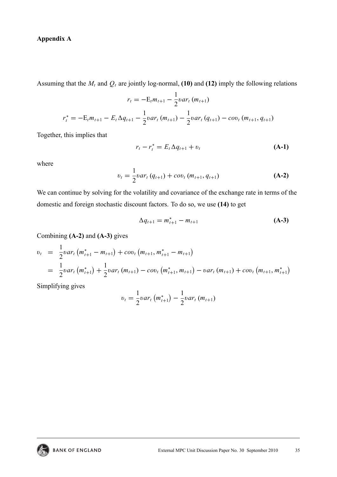#### Appendix A

Assuming that the  $M_t$  and  $Q_t$  are jointly log-normal, (10) and (12) imply the following relations

$$
r_{t} = -E_{t}m_{t+1} - \frac{1}{2}var_{t}(m_{t+1})
$$

$$
r_{t}^{*} = -E_{t}m_{t+1} - E_{t}\Delta q_{t+1} - \frac{1}{2}var_{t}(m_{t+1}) - \frac{1}{2}var_{t}(q_{t+1}) - cov_{t}(m_{t+1}, q_{t+1})
$$

Together, this implies that

$$
r_t - r_t^* = E_t \Delta q_{t+1} + v_t \tag{A-1}
$$

where

$$
v_t = \frac{1}{2}var_t(q_{t+1}) + cov_t(m_{t+1}, q_{t+1})
$$
 (A-2)

We can continue by solving for the volatility and covariance of the exchange rate in terms of the domestic and foreign stochastic discount factors. To do so, we use (14) to get

$$
\Delta q_{t+1} = m_{t+1}^* - m_{t+1}
$$
 (A-3)

Combining  $(A-2)$  and  $(A-3)$  gives

$$
v_t = \frac{1}{2}var_t \left(m_{t+1}^* - m_{t+1}\right) + cov_t \left(m_{t+1}, m_{t+1}^* - m_{t+1}\right)
$$
  
= 
$$
\frac{1}{2}var_t \left(m_{t+1}^*\right) + \frac{1}{2}var_t \left(m_{t+1}\right) - cov_t \left(m_{t+1}^*, m_{t+1}\right) - var_t \left(m_{t+1}\right) + cov_t \left(m_{t+1}, m_{t+1}^*\right)
$$

Simplifying gives

$$
v_t = \frac{1}{2}var_t(m_{t+1}^*) - \frac{1}{2}var_t(m_{t+1})
$$

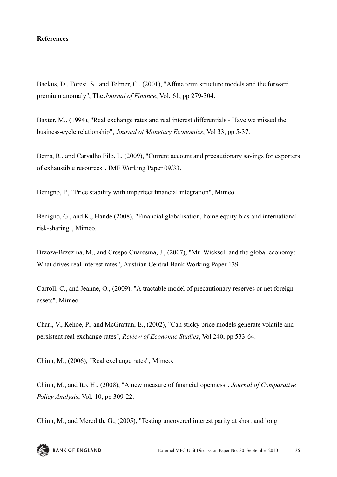#### **References**

Backus, D., Foresi, S., and Telmer, C., (2001), "Affine term structure models and the forward premium anomaly", The Journal of Finance, Vol. 61, pp 279-304.

Baxter, M., (1994), "Real exchange rates and real interest differentials - Have we missed the business-cycle relationship", Journal of Monetary Economics, Vol 33, pp 5-37.

Bems, R., and Carvalho Filo, I., (2009), "Current account and precautionary savings for exporters of exhaustible resources", IMF Working Paper 09/33.

Benigno, P., "Price stability with imperfect financial integration", Mimeo.

Benigno, G., and K., Hande (2008), "Financial globalisation, home equity bias and international risk-sharing", Mimeo.

Brzoza-Brzezina, M., and Crespo Cuaresma, J., (2007), "Mr. Wicksell and the global economy: What drives real interest rates", Austrian Central Bank Working Paper 139.

Carroll, C., and Jeanne, O., (2009), "A tractable model of precautionary reserves or net foreign assets", Mimeo.

Chari, V., Kehoe, P., and McGrattan, E., (2002), "Can sticky price models generate volatile and persistent real exchange rates", Review of Economic Studies, Vol 240, pp 533-64.

Chinn, M., (2006), "Real exchange rates", Mimeo.

Chinn, M., and Ito, H., (2008), "A new measure of financial openness", Journal of Comparative Policy Analysis, Vol. 10, pp 309-22.

Chinn, M., and Meredith, G., (2005), "Testing uncovered interest parity at short and long

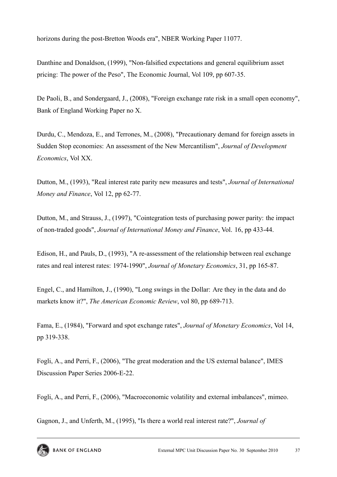horizons during the post-Bretton Woods era", NBER Working Paper 11077.

Danthine and Donaldson, (1999), "Non-falsified expectations and general equilibrium asset pricing: The power of the Peso", The Economic Journal, Vol 109, pp 607-35.

De Paoli, B., and Sondergaard, J., (2008), "Foreign exchange rate risk in a small open economy", Bank of England Working Paper no X.

Durdu, C., Mendoza, E., and Terrones, M., (2008), "Precautionary demand for foreign assets in Sudden Stop economies: An assessment of the New Mercantilism", Journal of Development Economics, Vol XX.

Dutton, M., (1993), "Real interest rate parity new measures and tests", Journal of International Money and Finance, Vol 12, pp 62-77.

Dutton, M., and Strauss, J., (1997), "Cointegration tests of purchasing power parity: the impact of non-traded goods", Journal of International Money and Finance, Vol. 16, pp 433-44.

Edison, H., and Pauls, D., (1993), "A re-assessment of the relationship between real exchange rates and real interest rates: 1974-1990", Journal of Monetary Economics, 31, pp 165-87.

Engel, C., and Hamilton, J., (1990), "Long swings in the Dollar: Are they in the data and do markets know it?", *The American Economic Review*, vol 80, pp 689-713.

Fama, E., (1984), "Forward and spot exchange rates", Journal of Monetary Economics, Vol 14, pp 319-338.

Fogli, A., and Perri, F., (2006), "The great moderation and the US external balance", IMES Discussion Paper Series 2006-E-22.

Fogli, A., and Perri, F., (2006), "Macroeconomic volatility and external imbalances", mimeo.

Gagnon, J., and Unferth, M., (1995), "Is there a world real interest rate?", Journal of

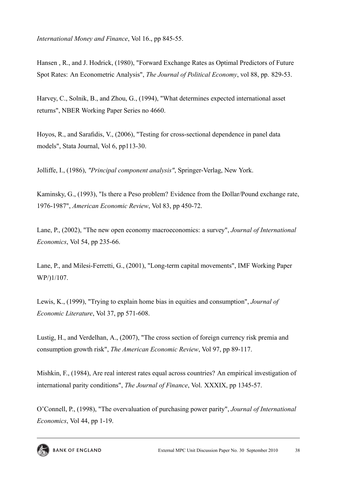International Money and Finance, Vol 16., pp 845-55.

Hansen , R., and J. Hodrick, (1980), "Forward Exchange Rates as Optimal Predictors of Future Spot Rates: An Econometric Analysis", *The Journal of Political Economy*, vol 88, pp. 829-53.

Harvey, C., Solnik, B., and Zhou, G., (1994), "What determines expected international asset returns", NBER Working Paper Series no 4660.

Hoyos, R., and Sarafidis, V., (2006), "Testing for cross-sectional dependence in panel data models", Stata Journal, Vol 6, pp113-30.

Jolliffe, I., (1986), "Principal component analysis", Springer-Verlag, New York.

Kaminsky, G., (1993), "Is there a Peso problem? Evidence from the Dollar/Pound exchange rate, 1976-1987", American Economic Review, Vol 83, pp 450-72.

Lane, P., (2002), "The new open economy macroeconomics: a survey", Journal of International Economics, Vol 54, pp 235-66.

Lane, P., and Milesi-Ferretti, G., (2001), "Long-term capital movements", IMF Working Paper WP/)1/107.

Lewis, K., (1999), "Trying to explain home bias in equities and consumption", *Journal of* Economic Literature, Vol 37, pp 571-608.

Lustig, H., and Verdelhan, A., (2007), "The cross section of foreign currency risk premia and consumption growth risk", The American Economic Review, Vol 97, pp 89-117.

Mishkin, F., (1984), Are real interest rates equal across countries? An empirical investigation of international parity conditions", The Journal of Finance, Vol. XXXIX, pp 1345-57.

O'Connell, P., (1998), "The overvaluation of purchasing power parity", Journal of International Economics, Vol 44, pp 1-19.

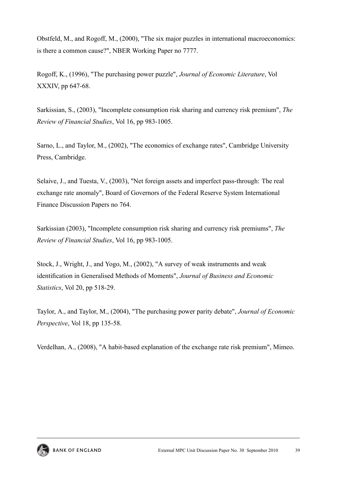Obstfeld, M., and Rogoff, M., (2000), "The six major puzzles in international macroeconomics: is there a common cause?", NBER Working Paper no 7777.

Rogoff, K., (1996), "The purchasing power puzzle", Journal of Economic Literature, Vol XXXIV, pp 647-68.

Sarkissian, S., (2003), "Incomplete consumption risk sharing and currency risk premium", The Review of Financial Studies, Vol 16, pp 983-1005.

Sarno, L., and Taylor, M., (2002), "The economics of exchange rates", Cambridge University Press, Cambridge.

Selaive, J., and Tuesta, V., (2003), "Net foreign assets and imperfect pass-through: The real exchange rate anomaly", Board of Governors of the Federal Reserve System International Finance Discussion Papers no 764.

Sarkissian (2003), "Incomplete consumption risk sharing and currency risk premiums", The Review of Financial Studies, Vol 16, pp 983-1005.

Stock, J., Wright, J., and Yogo, M., (2002), "A survey of weak instruments and weak identification in Generalised Methods of Moments", Journal of Business and Economic Statistics, Vol 20, pp 518-29.

Taylor, A., and Taylor, M., (2004), "The purchasing power parity debate", Journal of Economic Perspective, Vol 18, pp 135-58.

Verdelhan, A., (2008), "A habit-based explanation of the exchange rate risk premium", Mimeo.

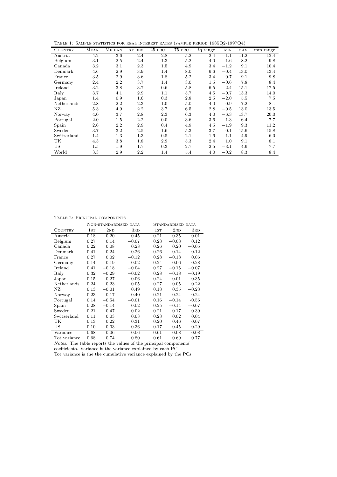| TABLE 1: SAMPLE STATISTICS FOR REAL INTEREST RATES (SAMPLE PERIOD 1985Q2-1997Q4) |  |
|----------------------------------------------------------------------------------|--|
|----------------------------------------------------------------------------------|--|

| COUNTRY     | <b>MEAN</b> | <b>MEDIAN</b> | ST DEV | 25 PRCT | 75 PRCT | iq range | MIN    | MAX  | mm range |
|-------------|-------------|---------------|--------|---------|---------|----------|--------|------|----------|
| Austria     | 4.2         | 3.6           | 2.4    | 2.8     | 5.2     | 2.4      | $-1.1$ | 11.2 | 12.4     |
| Belgium     | 3.1         | 2.5           | 2.4    | 1.3     | 5.2     | 4.0      | $-1.6$ | 8.2  | 9.8      |
| Canada      | 3.2         | 3.1           | 2.3    | $1.5\,$ | 4.9     | 3.4      | $-1.2$ | 9.1  | 10.4     |
| Denmark     | 4.6         | 2.9           | 3.9    | 1.4     | 8.0     | 6.6      | $-0.4$ | 13.0 | 13.4     |
| France      | 3.5         | 2.9           | 3.6    | 1.8     | 5.2     | 3.4      | $-0.7$ | 9.1  | 9.8      |
| Germany     | 2.4         | 2.2           | 3.7    | 1.4     | $3.0\,$ | $1.5\,$  | $-0.6$ | 7.8  | 8.4      |
| Ireland     | 3.2         | 3.8           | 3.7    | $-0.6$  | 5.8     | 6.5      | $-2.4$ | 15.1 | 17.5     |
| Italy       | 3.7         | 4.1           | 2.9    | 1.1     | 5.7     | 4.5      | $-0.7$ | 13.3 | 14.0     |
| Japan       | 1.4         | 0.9           | 1.6    | 0.3     | 2.8     | 2.5      | $-2.0$ | 5.5  | 7.5      |
| Netherlands | 2.8         | 2.2           | 2.3    | 1.0     | 5.0     | 4.0      | $-0.9$ | 7.2  | 8.1      |
| ΝZ          | 5.3         | 4.9           | 2.2    | 3.7     | 6.5     | 2.8      | $-0.5$ | 13.0 | 13.5     |
| Norway      | 4.0         | 3.7           | 2.8    | 2.3     | 6.3     | 4.0      | $-6.3$ | 13.7 | 20.0     |
| Portugal    | 2.0         | 1.5           | 2.2    | 0.0     | $3.6\,$ | 3.6      | $-1.3$ | 6.4  | 7.7      |
| Spain       | 2.6         | 2.2           | 2.9    | $0.4\,$ | 4.9     | 4.5      | $-1.9$ | 9.3  | 11.2     |
| Sweden      | 3.7         | 3.2           | 2.5    | $1.6\,$ | 5.3     | 3.7      | $-0.1$ | 15.6 | 15.8     |
| Switzerland | 1.4         | 1.3           | 1.3    | 0.5     | $2.1\,$ | $1.6\,$  | $-1.1$ | 4.9  | 6.0      |
| UK          | 4.3         | 3.8           | 1.8    | 2.9     | 5.3     | 2.4      | 1.0    | 9.1  | 8.1      |
| US          | 1.5         | 1.9           | 1.7    | 0.3     | 2.7     | 2.5      | $-3.1$ | 4.6  | 7.7      |
| World       | 3.3         | 2.9           | 2.2    | 1.4     | 5.4     | 4.0      | $-0.2$ | 8.3  | 8.4      |

Table 2: Principal components

| IADLE 2. I RINCH AL COMI ONENIS |              |                       |         |              |                   |         |  |  |
|---------------------------------|--------------|-----------------------|---------|--------------|-------------------|---------|--|--|
|                                 |              | NON-STANDARDISED DATA |         |              | STANDARDISED DATA |         |  |  |
| COUNTRY                         | $_{1\rm ST}$ | 2ND                   | 3RD     | $_{1\rm ST}$ | 2ND               | 3RD     |  |  |
| Austria                         | 0.18         | 0.20                  | 0.45    | 0.21         | 0.35              | 0.01    |  |  |
| Belgium                         | 0.27         | 0.14                  | $-0.07$ | 0.28         | $-0.08$           | 0.12    |  |  |
| Canada                          | 0.22         | 0.08                  | 0.28    | 0.26         | 0.20              | $-0.05$ |  |  |
| Denmark                         | 0.41         | 0.24                  | $-0.26$ | 0.26         | $-0.14$           | 0.12    |  |  |
| France                          | 0.27         | 0.02                  | $-0.12$ | 0.28         | $-0.18$           | 0.06    |  |  |
| Germany                         | 0.14         | 0.19                  | 0.02    | 0.24         | 0.06              | 0.28    |  |  |
| Ireland                         | 0.41         | $-0.18$               | $-0.04$ | 0.27         | $-0.15$           | $-0.07$ |  |  |
| Italy                           | 0.32         | $-0.29$               | $-0.02$ | 0.28         | $-0.18$           | $-0.19$ |  |  |
| Japan                           | 0.15         | 0.27                  | $-0.06$ | 0.24         | 0.01              | 0.35    |  |  |
| Netherlands                     | 0.24         | 0.23                  | $-0.05$ | 0.27         | $-0.05$           | 0.22    |  |  |
| ΝZ                              | 0.13         | $-0.01$               | 0.49    | 0.18         | 0.35              | $-0.23$ |  |  |
| Norway                          | 0.23         | 0.17                  | $-0.40$ | 0.21         | $-0.24$           | 0.24    |  |  |
| Portugal                        | 0.14         | $-0.54$               | $-0.01$ | 0.16         | $-0.14$           | $-0.56$ |  |  |
| Spain                           | 0.28         | $-0.14$               | 0.02    | 0.25         | $-0.14$           | $-0.07$ |  |  |
| Sweden                          | 0.21         | $-0.47$               | 0.02    | 0.21         | $-0.17$           | $-0.39$ |  |  |
| Switzerland                     | 0.11         | 0.03                  | 0.03    | 0.23         | 0.02              | 0.04    |  |  |
| UK                              | 0.13         | 0.22                  | 0.31    | 0.20         | 0.46              | 0.07    |  |  |
| US                              | 0.10         | $-0.03$               | 0.36    | 0.17         | 0.45              | $-0.29$ |  |  |
| Variance                        | 0.68         | 0.06                  | 0.06    | 0.61         | 0.08              | 0.08    |  |  |
| Tot variance                    | 0.68         | 0.74                  | 0.80    | 0.61         | 0.69              | 0.77    |  |  |

Notes: The table reports the values of the principal components'

coefficients. Variance is the variance explained by each PC.

Tot variance is the the cumulative variance explained by the PCs.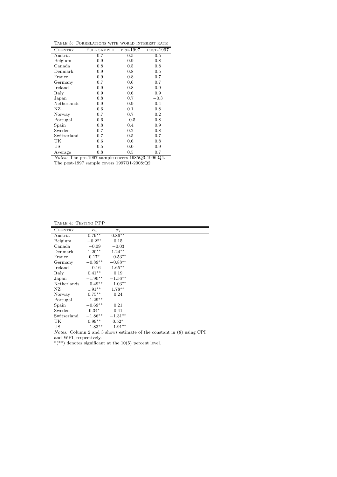| TABLE 3: CORRELATIONS WITH WORLD INTEREST RATE |  |  |  |  |
|------------------------------------------------|--|--|--|--|
|------------------------------------------------|--|--|--|--|

| COUNTRY     | FULL SAMPLE | PRE-1997 | POST-1997 |
|-------------|-------------|----------|-----------|
| Austria     | 0.7         | 0.5      | 0.5       |
| Belgium     | 0.9         | 0.9      | 0.8       |
| Canada      | 0.8         | 0.5      | 0.8       |
| Denmark     | 0.9         | 0.8      | 0.5       |
| France      | 0.9         | 0.8      | 0.7       |
| Germany     | $0.7\,$     | 0.6      | $0.7\,$   |
| Ireland     | 0.9         | 0.8      | 0.9       |
| Italy       | 0.9         | 0.6      | 0.9       |
| Japan       | 0.8         | 0.7      | $-0.3$    |
| Netherlands | 0.9         | 0.9      | 0.4       |
| ΝZ          | $0.6\,$     | 0.1      | 0.8       |
| Norway      | 0.7         | 0.7      | $0.2\,$   |
| Portugal    | 0.6         | $-0.5$   | 0.8       |
| Spain       | $0.8\,$     | 0.4      | 0.9       |
| Sweden      | 0.7         | 0.2      | 0.8       |
| Switzerland | 0.7         | 0.5      | 0.7       |
| UK          | $0.6\,$     | $0.6\,$  | 0.8       |
| US          | $0.5\,$     | 0.0      | 0.9       |
| Average     | 0.8         | 0.5      | 0.7       |

Notes: The pre-1997 sample covers 1985Q3-1996:Q4.

The post-1997 sample covers 1997Q1-2008:Q2.

TABLE 4: TESTING PPP

| COUNTRY     | $\alpha_i$ | $\alpha_i$ |
|-------------|------------|------------|
| Austria     | $0.79**$   | $0.86**$   |
| Belgium     | $-0.22*$   | 0.15       |
| Canada      | $-0.09$    | $-0.03$    |
| Denmark     | $1.20**$   | $1.24***$  |
| France      | $0.17*$    | $-0.53**$  |
| Germany     | $-0.89**$  | $-0.88**$  |
| Ireland     | $-0.16$    | $1.65***$  |
| Italy       | $0.41***$  | 0.19       |
| Japan       | $-1.90**$  | $-1.56***$ |
| Netherlands | $-0.49**$  | $-1.03**$  |
| ΝZ          | $1.91***$  | $1.78***$  |
| Norway      | $0.75***$  | 0.24       |
| Portugal    | $-1.29**$  |            |
| Spain       | $-0.69**$  | 0.21       |
| Sweden      | $0.34*$    | 0.41       |
| Switzerland | $-1.86**$  | $-1.31**$  |
| UK          | $0.99**$   | $0.52*$    |
| US          | $-1.83**$  | $-1.91**$  |

Notes: Column 2 and 3 shows estimate of the constant in (8) using CPI and WPI, respectively.

 $*(**)$  denotes significant at the 10(5) percent level.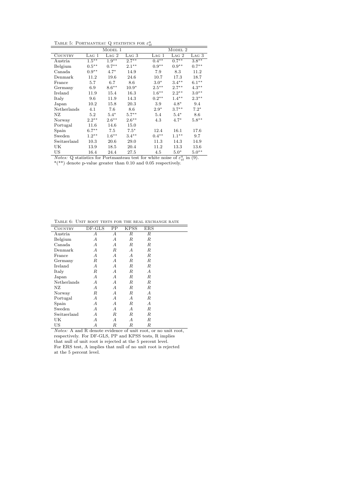TABLE 5: PORTMANTEAU Q STATISTICS FOR  $\varepsilon_{it}^a$ 

|             |          | MODEL 1          |                  |          | MODEL 2          |                |  |  |
|-------------|----------|------------------|------------------|----------|------------------|----------------|--|--|
| COUNTRY     | LAG 1    | LAG <sub>2</sub> | LAG <sub>3</sub> | LAG 1    | LAG <sub>2</sub> | $_{\rm LAG}$ 3 |  |  |
| Austria     | $1.5***$ | $1.9***$         | $2.7***$         | $0.4**$  | $0.7**$          | $3.8***$       |  |  |
| Belgium     | $0.5***$ | $0.7***$         | $2.1***$         | $0.9***$ | $0.9**$          | $0.7***$       |  |  |
| Canada      | $0.9***$ | $4.7*$           | 14.9             | 7.9      | 8.3              | 11.2           |  |  |
| Denmark     | 11.2     | 19.6             | 24.6             | 10.7     | 17.3             | 18.7           |  |  |
| France      | 5.7      | 6.7              | 8.6              | $3.0*$   | $3.4***$         | $6.1***$       |  |  |
| Germany     | 6.9      | $8.6***$         | $10.9*$          | $2.5***$ | $2.7***$         | $4.3***$       |  |  |
| Ireland     | 11.9     | 15.4             | 16.3             | $1.6***$ | $2.2***$         | $3.0**$        |  |  |
| Italy       | 9.6      | 11.9             | 14.3             | $0.2**$  | $1.4***$         | $2.3***$       |  |  |
| Japan       | 10.2     | 15.8             | 20.3             | 3.9      | $4.8*$           | 9.4            |  |  |
| Netherlands | 4.1      | 7.6              | 8.6              | $2.9*$   | $3.7***$         | $7.2*$         |  |  |
| ΝZ          | 5.2      | $5.4*$           | $5.7***$         | 5.4      | $5.4*$           | 8.6            |  |  |
| Norway      | $2.2***$ | $2.6***$         | $2.6***$         | 4.3      | $4.7*$           | $5.8**$        |  |  |
| Portugal    | 11.6     | 14.6             | 15.0             |          |                  |                |  |  |
| Spain       | $6.7***$ | 7.5              | $7.5*$           | 12.4     | 16.1             | 17.6           |  |  |
| Sweden      | $1.2***$ | $1.6***$         | $3.4***$         | $0.4***$ | $1.1***$         | 9.7            |  |  |
| Switzerland | 10.3     | 20.6             | 29.0             | 11.3     | 14.3             | 14.9           |  |  |
| UK          | 13.9     | 18.5             | 20.4             | 11.2     | 13.3             | 13.6           |  |  |
| US          | 16.4     | 24.4             | 27.5             | 4.5      | $5.0*$           | $5.0**$        |  |  |

*Notes:* Q statistics for Portmanteau test for white noise of  $\varepsilon_{it}^a$  in (9).<br>\*(\*\*) denote p-value greater than 0.10 and 0.05 respectively.

TABLE 6: UNIT ROOT TESTS FOR THE REAL EXCHANGE RATE

 $\overline{a}$ 

| COUNTRY     | $DF-GLS$ | PΡ | <b>KPSS</b>      | <b>ERS</b> |  |
|-------------|----------|----|------------------|------------|--|
| Austria     | А        | А  | $\boldsymbol{R}$ | R          |  |
| Belgium     | А        | А  | R                | R          |  |
| Canada      | А        | А  | R                | R          |  |
| Denmark     | А        | R  | А                | R          |  |
| France      | А        | А  | А                | R          |  |
| Germany     | R        | А  | R                | $_{R}$     |  |
| Ireland     | А        | А  | R                | R          |  |
| Italy       | $_{R}$   | А  | R                | А          |  |
| Japan       | А        | А  | R                | $_{R}$     |  |
| Netherlands | А        | А  | R                | R          |  |
| ΝZ          | А        | А  | R                | R          |  |
| Norway      | R        | А  | R                | А          |  |
| Portugal    | А        | А  | А                | R          |  |
| Spain       | А        | А  | R                | А          |  |
| Sweden      | А        | А  | А                | R          |  |
| Switzerland | А        | R  | R                | R          |  |
| UK          | А        | А  | А                | R          |  |
| US          | А        | R  | R                | R          |  |

Notes: A and R denote evidence of unit root, or no unit root, respectively. For DF-GLS, PP and KPSS tests, R implies that null of unit root is rejected at the 5 percent level. For ERS test, A implies that null of no unit root is rejected at the 5 percent level.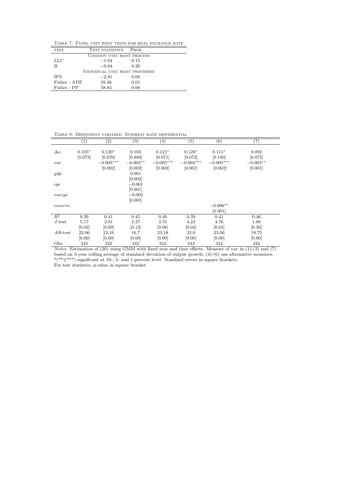Table 7: Panel unit root tests for real exchange rate

| <b>TEST</b>  | TEST STATISTICS                | <b>PROB</b> |
|--------------|--------------------------------|-------------|
|              | COMMON UNIT ROOT PROCESS       |             |
| LLC          | $-1.04$                        | 0.15        |
|              | $-0.84$                        | 0.20        |
|              | INDIVIDUAL UNIT ROOT PROCESSES |             |
| <b>IPS</b>   | $-2.81$                        | 0.00        |
| Fisher - ADF | 59.26                          | 0.01        |
| Fisher - PP  | 58.83                          | 0.00        |

|            | $\left(1\right)$    | $\left( 2\right)$      | $^{(3)}$              | $\left( 4\right)$      | $\left( 5\right)$      | $\left( 6\right)$      | (7)                   |
|------------|---------------------|------------------------|-----------------------|------------------------|------------------------|------------------------|-----------------------|
| $\Delta s$ | $0.105*$<br>[0.073] | $0.120*$<br>[0.070]    | 0.103<br>[0.880]      | $0.121*$<br>[0.071]    | $0.129*$<br>[0.072]    | $0.115*$<br>[0.100]    | 0.092<br>[0.075]      |
| var        |                     | $-0.005***$<br>[0.002] | $-0.004**$<br>[0.002] | $-0.005***$<br>[0.002] | $-0.004***$<br>[0.001] | $-0.005***$<br>[0.002] | $-0.003**$<br>[0.001] |
| gdp        |                     |                        | 0.001<br>[0.002]      |                        |                        |                        |                       |
| cpi        |                     |                        | $-0.001$<br>[0.001]   |                        |                        |                        |                       |
| varcpi     |                     |                        | $-0.002$<br>[0.001]   |                        |                        |                        |                       |
| reserve    |                     |                        |                       |                        |                        | $-0.006**$<br>[0.001]  |                       |
| $R^2$      | 0.39                | 0.41                   | 0.45                  | 0.40                   | 0.39                   | 0.41                   | 0.46                  |
| $J$ -test  | 5.17                | 2.81                   | 2.37                  | 3.55                   | 4.23                   | 4.76                   | 1.06                  |
|            | [0.02]              | [0.09]                 | [0.12]                | [0.06]                 | [0.04]                 | [0.03]                 | [0.30]                |
| $AR$ -test | 23.06               | 23.16                  | 16.7                  | 23.18                  | 23.0                   | 23.06                  | 19.75                 |
|            | [0.00]              | [0.00]                 | [0.00]                | [0.00]                 | [0.00]                 | [0.00]                 | [0.00]                |
| Obs        | 342                 | 342                    | 342                   | 342                    | 342                    | 342                    | 342                   |

Notes: Estimation of  $(20)$  using GMM with fixed year and time effects. Measure of var in  $(1)-(3)$  and  $(7)$ based on 3-year rolling average of standard deviation of output growth, (4)-(6) use alternative measures.  $*(**)(***)$  significant at 10-, 5- and 1-percent level. Standard errors in square brackets.

For test statistics, p-value in square bracket.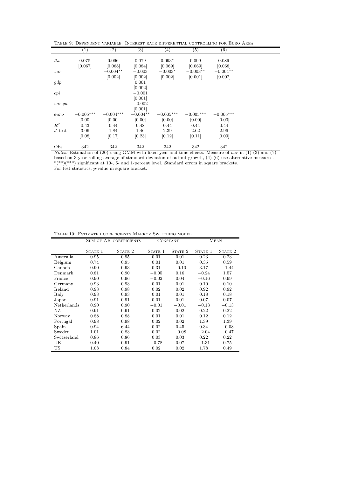|  |  | TABLE 9: DEPENDENT VARIABLE: INTEREST RATE DIFFERENTIAL CONTROLLING FOR EURO AREA |
|--|--|-----------------------------------------------------------------------------------|
|--|--|-----------------------------------------------------------------------------------|

|            | $\left(1\right)$ | $\left( 2\right)$ | $^{\rm (3)}$        | $\left( 4\right)$ | $\left( 5\right)$ | $^{\left(6\right)}$ |  |
|------------|------------------|-------------------|---------------------|-------------------|-------------------|---------------------|--|
|            |                  |                   |                     |                   |                   |                     |  |
| $\Delta s$ | 0.075            | 0.096             | 0.079               | $0.093*$          | 0.099             | 0.089               |  |
|            | [0.067]          | [0.068]           | [0.084]             | [0.069]           | [0.069]           | [0.068]             |  |
| var        |                  | $-0.004**$        | $-0.003$            | $-0.003*$         | $-0.003**$        | $-0.004**$          |  |
|            |                  | [0.002]           | [0.002]             | [0.002]           | [0.001]           | [0.002]             |  |
| gdp        |                  |                   | 0.001               |                   |                   |                     |  |
|            |                  |                   | [0.002]             |                   |                   |                     |  |
| cpi        |                  |                   | $-0.001$            |                   |                   |                     |  |
|            |                  |                   | [0.001]             |                   |                   |                     |  |
| varcpi     |                  |                   | $-0.002$            |                   |                   |                     |  |
|            |                  |                   | [0.001]             |                   |                   |                     |  |
| euro       | $-0.005***$      | $-0.004***$       | $-0.004^{\ast\ast}$ | $-0.005***$       | $-0.005***$       | $-0.005***$         |  |
|            | [0.00]           | [0.00]            | [0.00]              | [0.00]            | [0.00]            | [0.00]              |  |
| $R^2$      | 0.43             | 0.44              | 0.48                | 0.44              | 0.44              | 0.44                |  |
| $J$ -test  | 3.06             | 1.84              | 1.46                | 2.39              | 2.62              | 2.96                |  |
|            | [0.08]           | [0.17]            | [0.23]              | [0.12]            | [0.11]            | [0.09]              |  |
|            |                  |                   |                     |                   |                   |                     |  |
| Obs        | 342              | 342               | 342                 | 342               | 342               | 342                 |  |

*Notes:* Estimation of (20) using GMM with fixed year and time effects. Measure of var in  $(1)-(3)$  and (7) based on 3-year rolling average of standard deviation of output growth, (4)-(6) use alternative measures.  $*(**)(***)$  significant at 10-, 5- and 1-percent level. Standard errors in square brackets.

For test statistics, p-value in square bracket.

|             |         | SUM OF AR COEFFICIENTS |         | CONSTANT |         | MEAN    |  |
|-------------|---------|------------------------|---------|----------|---------|---------|--|
|             | STATE 1 | STATE 2                | STATE 1 | STATE 2  | STATE 1 | STATE 2 |  |
| Australia   | 0.95    | 0.95                   | 0.01    | 0.01     | 0.23    | 0.23    |  |
| Belgium     | 0.74    | 0.95                   | 0.01    | 0.01     | 0.35    | 0.59    |  |
| Canada      | 0.90    | 0.93                   | 0.31    | $-0.10$  | 3.17    | $-1.44$ |  |
| Denmark     | 0.81    | 0.90                   | $-0.05$ | 0.16     | $-0.24$ | 1.57    |  |
| France      | 0.90    | 0.96                   | $-0.02$ | 0.04     | $-0.16$ | 0.99    |  |
| Germany     | 0.93    | 0.93                   | 0.01    | 0.01     | 0.10    | 0.10    |  |
| Ireland     | 0.98    | 0.98                   | 0.02    | 0.02     | 0.92    | 0.92    |  |
| Italy       | 0.93    | 0.93                   | 0.01    | 0.01     | 0.18    | 0.18    |  |
| Japan       | 0.91    | 0.91                   | 0.01    | 0.01     | 0.07    | 0.07    |  |
| Netherlands | 0.90    | 0.90                   | $-0.01$ | $-0.01$  | $-0.13$ | $-0.13$ |  |
| ΝZ          | 0.91    | 0.91                   | 0.02    | 0.02     | 0.22    | 0.22    |  |
| Norway      | 0.88    | 0.88                   | 0.01    | 0.01     | 0.12    | 0.12    |  |
| Portugal    | 0.98    | 0.98                   | 0.02    | 0.02     | 1.39    | 1.39    |  |
| Spain       | 0.94    | 6.44                   | 0.02    | 0.45     | 0.34    | $-0.08$ |  |
| Sweden      | 1.01    | 0.83                   | 0.02    | $-0.08$  | $-2.04$ | $-0.47$ |  |
| Switzerland | 0.86    | 0.86                   | 0.03    | 0.03     | 0.22    | 0.22    |  |
| UK          | 0.40    | 0.91                   | $-0.78$ | 0.07     | $-1.31$ | 0.75    |  |
| US          | 1.08    | 0.84                   | 0.02    | 0.02     | 1.78    | 0.49    |  |

Table 10: Estimated coefficients Markov Switching model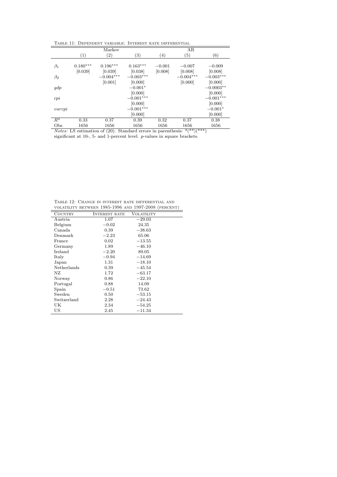Table 11: Dependent variable: Interest rate differential

|           |            | TABLE II. DEPENDENT VARIABLE. INTEREST RATE DIFFERENTIAL |                   |                   |                   |             |
|-----------|------------|----------------------------------------------------------|-------------------|-------------------|-------------------|-------------|
|           |            | Markov                                                   |                   |                   | AR                |             |
|           | (1)        | $\left( 2\right)$                                        | $\left( 3\right)$ | $\left( 4\right)$ | $\left( 5\right)$ | (6)         |
|           |            |                                                          |                   |                   |                   |             |
| $\beta_1$ | $0.180***$ | $0.196***$                                               | $0.163***$        | $-0.001$          | $-0.007$          | $-0.009$    |
|           | [0.039]    | [0.039]                                                  | [0.038]           | [0.008]           | [0.008]           | [0.008]     |
| $\beta_2$ |            | $-0.004***$                                              | $-0.003***$       |                   | $-0.004***$       | $-0.003***$ |
|           |            | [0.001]                                                  | [0.000]           |                   | [0.000]           | [0.000]     |
| gdp       |            |                                                          | $-0.001*$         |                   |                   | $-0.0003**$ |
|           |            |                                                          | [0.000]           |                   |                   | [0.000]     |
| cpi       |            |                                                          | $-0.001***$       |                   |                   | $-0.001***$ |
|           |            |                                                          | [0.000]           |                   |                   | [0.000]     |
| varcpi    |            |                                                          | $-0.001***$       |                   |                   | $-0.001*$   |
|           |            |                                                          | [0.000]           |                   |                   | [0.000]     |
| $R^2$     | 0.33       | 0.37                                                     | 0.39              | 0.32              | 0.37              | 0.38        |
| Obs       | 1656       | 1656                                                     | 1656              | 1656              | 1656              | 1656        |

*Notes:* LS estimation of (20). Standard errors in parenthesis:  $*(**)(***)$ 

significant at 10-, 5- and 1-percent level. p-values in square brackets.

| TABLE 12: CHANGE IN INTEREST RATE DIFFERENTIAL AND   |  |  |
|------------------------------------------------------|--|--|
| VOLATILITY BETWEEN 1985-1996 AND 1997-2008 (PERCENT) |  |  |

| COUNTRY     | INTEREST RATE | VOLATILITY |  |
|-------------|---------------|------------|--|
| Austria     | 1.07          | $-29.03$   |  |
| Belgium     | $-0.02$       | 24.35      |  |
| Canada      | 0.39          | $-38.63$   |  |
| Denmark     | $-2.23$       | 65.06      |  |
| France      | 0.02          | $-13.55$   |  |
| Germany     | 1.89          | $-46.10$   |  |
| $I$ reland  | $-2.20$       | 89.05      |  |
| Italy       | $-0.94$       | $-14.69$   |  |
| Japan       | 1.31          | $-18.10$   |  |
| Netherlands | 0.39          | $-45.54$   |  |
| ΝZ          | 1.72          | $-63.17$   |  |
| Norway      | 0.86          | $-22.10$   |  |
| Portugal    | 0.88          | 14.09      |  |
| Spain       | $-0.51$       | 73.62      |  |
| Sweden      | 0.50          | $-53.15$   |  |
| Switzerland | 2.28          | $-24.43$   |  |
| UK          | 2.34          | $-54.25$   |  |
| US          | 2.45          | $-11.34$   |  |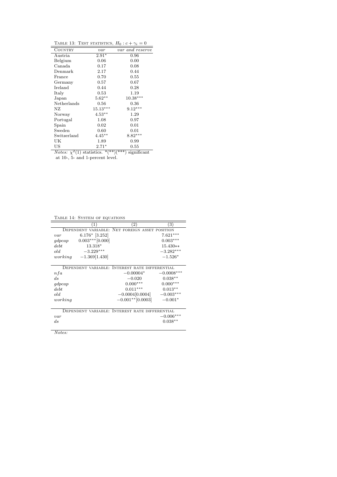|  |  |  |  | TABLE 13: TEST STATISTICS, $H_0: c + \gamma_i = 0$ |
|--|--|--|--|----------------------------------------------------|
|--|--|--|--|----------------------------------------------------|

| COUNTRY                           | var             | var and reserve    |
|-----------------------------------|-----------------|--------------------|
| Austria                           | $2.91*$         | $_{0.96}$          |
| Belgium                           | 0.06            | 0.00               |
| Canada                            | 0.17            | 0.08               |
| Denmark                           | 2.17            | 0.44               |
| France                            | 0.70            | 0.55               |
| Germany                           | 0.57            | 0.67               |
| Ireland                           | 0.44            | 0.28               |
| Italy                             | 0.53            | 1.19               |
| Japan                             | $5.62**$        | $10.38***$         |
| Netherlands                       | 0.56            | 0.36               |
| ΝZ                                | $15.13***$      | $9.12***$          |
| Norway                            | $4.53***$       | 1.29               |
| Portugal                          | 1.08            | 0.97               |
| Spain                             | 0.02            | 0.01               |
| Sweden                            | 0.60            | 0.01               |
| Switzerland                       | $4.45***$       | $8.82***$          |
| UK                                | 1.89            | 0.99               |
| US                                | $2.71*$         | 0.55               |
| $\chi^2(1)$ statistics.<br>Notes: | $\ast$<br>$***$ | ***<br>significant |

at 10-, 5- and 1-percent level.

Table 14: System of equations

|         | $\left(1\right)$  | $\left( 2\right)$                              | 3)           |
|---------|-------------------|------------------------------------------------|--------------|
|         |                   | DEPENDENT VARIABLE: NET FOREIGN ASSET POSITION |              |
| var     | $6.176*$ [3.252]  |                                                | $7.621***$   |
| gdpcap  | $0.003***[0.000]$ |                                                | $0.003***$   |
| debt    | 13.318*           |                                                | 15.430**     |
| old     | $-3.229***$       |                                                | $-3.282***$  |
| working | $-1.369[1.430]$   |                                                | $-1.526*$    |
|         |                   |                                                |              |
|         |                   | DEPENDENT VARIABLE: INTEREST RATE DIFFERENTIAL |              |
| nfa     |                   | $-0.00004*$                                    | $-0.0008***$ |
| ds      |                   | $-0.020$                                       | $0.038**$    |
| qdpcap  |                   | $0.000***$                                     | $0.000***$   |
| debt    |                   | $0.011***$                                     | $0.013**$    |
| old     |                   | $-0.0004[0.0004]$                              | $-0.003***$  |
| working |                   | $-0.001**$ [0.0003]                            | $-0.001*$    |
|         |                   | DEPENDENT VARIABLE: INTEREST RATE DIFFERENTIAL |              |
|         |                   |                                                |              |
| var     |                   |                                                | $-0.006***$  |
| ds      |                   |                                                | $0.038**$    |

 $\overline{\hbox{\textbf{Notes}}:}$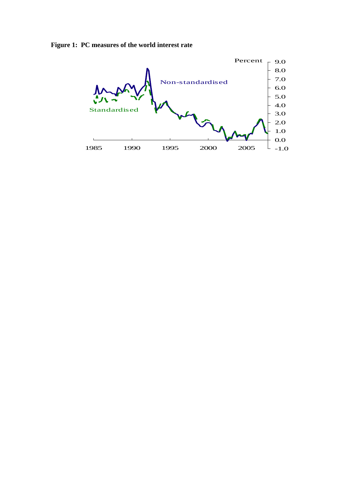**Figure 1: PC measures of the world interest rate** 

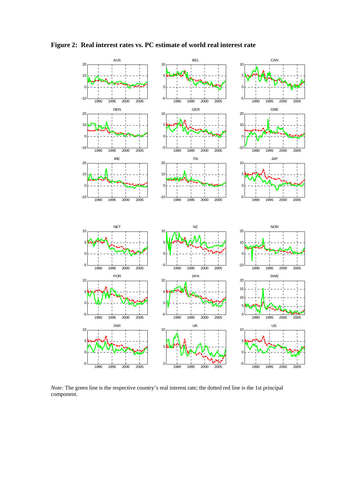

**Figure 2: Real interest rates vs. PC estimate of world real interest rate** 

*Note:* The green line is the respective country's real interest rate; the dotted red line is the 1st principal component.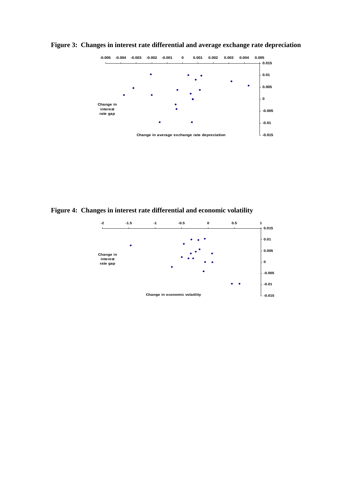

**Figure 3: Changes in interest rate differential and average exchange rate depreciation** 

**Figure 4: Changes in interest rate differential and economic volatility**